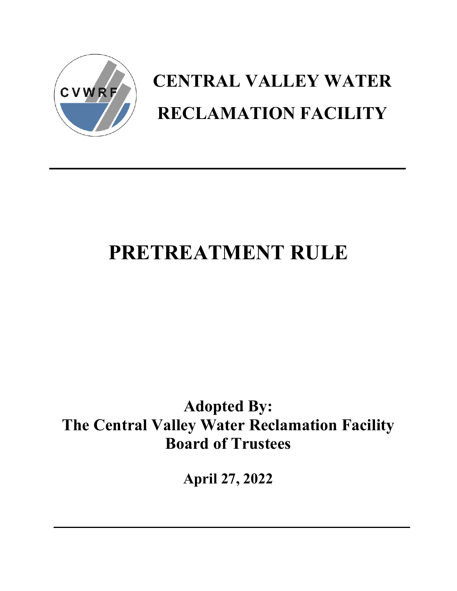

# **CENTRAL VALLEY WATER RECLAMATION FACILITY**

## **PRETREATMENT RULE**

## **Adopted By: The Central Valley Water Reclamation Facility Board of Trustees**

**April 27, 2022**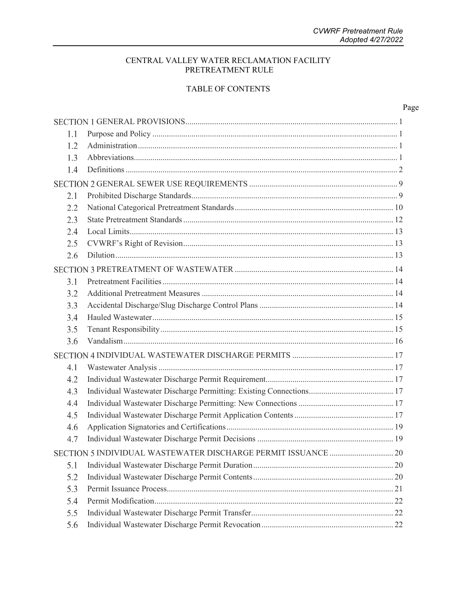### CENTRAL VALLEY WATER RECLAMATION FACILITY PRETREATMENT RULE

### TABLE OF CONTENTS

|--|

| 1.1 |  |
|-----|--|
| 1.2 |  |
| 1.3 |  |
| 1.4 |  |
|     |  |
| 2.1 |  |
| 2.2 |  |
| 2.3 |  |
| 2.4 |  |
| 2.5 |  |
| 2.6 |  |
|     |  |
| 3.1 |  |
| 3.2 |  |
| 3.3 |  |
| 3.4 |  |
| 3.5 |  |
| 3.6 |  |
|     |  |
| 4.1 |  |
| 4.2 |  |
| 4.3 |  |
| 4.4 |  |
| 4.5 |  |
| 4.6 |  |
| 4.7 |  |
|     |  |
| 5.1 |  |
| 5.2 |  |
| 5.3 |  |
| 5.4 |  |
| 5.5 |  |
| 5.6 |  |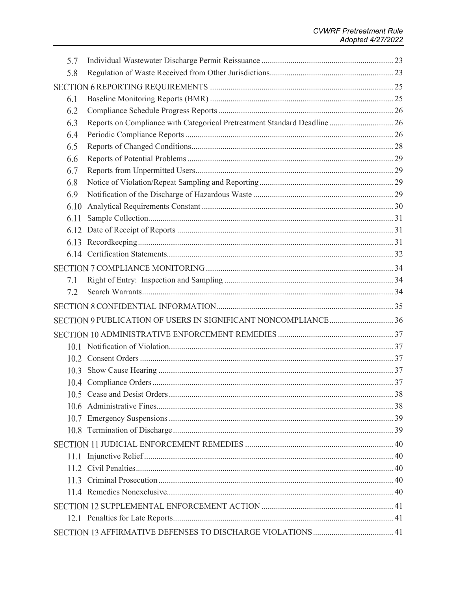| 5.7  |                                                                           |  |
|------|---------------------------------------------------------------------------|--|
| 5.8  |                                                                           |  |
|      |                                                                           |  |
| 6.1  |                                                                           |  |
| 6.2  |                                                                           |  |
| 6.3  | Reports on Compliance with Categorical Pretreatment Standard Deadline  26 |  |
| 6.4  |                                                                           |  |
| 6.5  |                                                                           |  |
| 6.6  |                                                                           |  |
| 6.7  |                                                                           |  |
| 6.8  |                                                                           |  |
| 6.9  |                                                                           |  |
| 6.10 |                                                                           |  |
| 6.11 |                                                                           |  |
|      |                                                                           |  |
| 6.13 |                                                                           |  |
|      |                                                                           |  |
|      |                                                                           |  |
| 7.1  |                                                                           |  |
| 7.2  |                                                                           |  |
|      |                                                                           |  |
|      |                                                                           |  |
|      |                                                                           |  |
|      |                                                                           |  |
|      |                                                                           |  |
|      |                                                                           |  |
|      |                                                                           |  |
|      |                                                                           |  |
|      |                                                                           |  |
|      |                                                                           |  |
|      |                                                                           |  |
|      |                                                                           |  |
|      |                                                                           |  |
|      |                                                                           |  |
|      |                                                                           |  |
|      |                                                                           |  |
|      |                                                                           |  |
|      |                                                                           |  |
|      |                                                                           |  |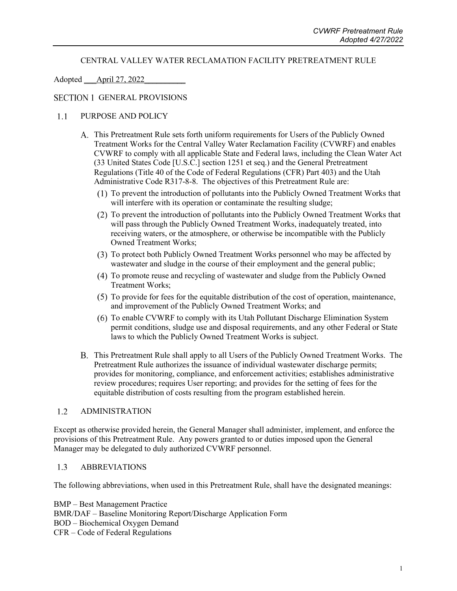### CENTRAL VALLEY WATER RECLAMATION FACILITY PRETREATMENT RULE

### <span id="page-4-0"></span>Adopted April 27, 2022

### <span id="page-4-1"></span>SECTION 1 GENERAL PROVISIONS

#### PURPOSE AND POLICY  $1.1$

- This Pretreatment Rule sets forth uniform requirements for Users of the Publicly Owned Treatment Works for the Central Valley Water Reclamation Facility (CVWRF) and enables CVWRF to comply with all applicable State and Federal laws, including the Clean Water Act (33 United States Code [U.S.C.] section 1251 et seq.) and the General Pretreatment Regulations (Title 40 of the Code of Federal Regulations (CFR) Part 403) and the Utah Administrative Code R317-8-8. The objectives of this Pretreatment Rule are:
	- (1) To prevent the introduction of pollutants into the Publicly Owned Treatment Works that will interfere with its operation or contaminate the resulting sludge;
	- To prevent the introduction of pollutants into the Publicly Owned Treatment Works that will pass through the Publicly Owned Treatment Works, inadequately treated, into receiving waters, or the atmosphere, or otherwise be incompatible with the Publicly Owned Treatment Works;
	- To protect both Publicly Owned Treatment Works personnel who may be affected by wastewater and sludge in the course of their employment and the general public;
	- To promote reuse and recycling of wastewater and sludge from the Publicly Owned Treatment Works;
	- $(5)$  To provide for fees for the equitable distribution of the cost of operation, maintenance, and improvement of the Publicly Owned Treatment Works; and
	- To enable CVWRF to comply with its Utah Pollutant Discharge Elimination System permit conditions, sludge use and disposal requirements, and any other Federal or State laws to which the Publicly Owned Treatment Works is subject.
- This Pretreatment Rule shall apply to all Users of the Publicly Owned Treatment Works. The Pretreatment Rule authorizes the issuance of individual wastewater discharge permits; provides for monitoring, compliance, and enforcement activities; establishes administrative review procedures; requires User reporting; and provides for the setting of fees for the equitable distribution of costs resulting from the program established herein.

#### <span id="page-4-2"></span> $1.2$ ADMINISTRATION

Except as otherwise provided herein, the General Manager shall administer, implement, and enforce the provisions of this Pretreatment Rule. Any powers granted to or duties imposed upon the General Manager may be delegated to duly authorized CVWRF personnel.

#### <span id="page-4-3"></span> $1.3$ ABBREVIATIONS

The following abbreviations, when used in this Pretreatment Rule, shall have the designated meanings:

BMP – Best Management Practice BMR/DAF – Baseline Monitoring Report/Discharge Application Form BOD – Biochemical Oxygen Demand CFR – Code of Federal Regulations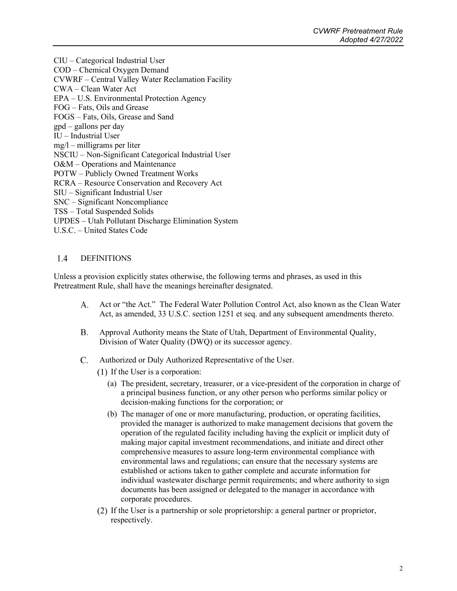CIU – Categorical Industrial User COD – Chemical Oxygen Demand CVWRF – Central Valley Water Reclamation Facility CWA – Clean Water Act EPA – U.S. Environmental Protection Agency FOG – Fats, Oils and Grease FOGS – Fats, Oils, Grease and Sand gpd – gallons per day IU – Industrial User mg/l – milligrams per liter NSCIU – Non-Significant Categorical Industrial User O&M – Operations and Maintenance POTW – Publicly Owned Treatment Works RCRA – Resource Conservation and Recovery Act SIU – Significant Industrial User SNC – Significant Noncompliance TSS – Total Suspended Solids UPDES – Utah Pollutant Discharge Elimination System U.S.C. – United States Code

#### <span id="page-5-0"></span> $1.4$ DEFINITIONS

Unless a provision explicitly states otherwise, the following terms and phrases, as used in this Pretreatment Rule, shall have the meanings hereinafter designated.

- Act or "the Act." The Federal Water Pollution Control Act, also known as the Clean Water A. Act, as amended, 33 U.S.C. section 1251 et seq. and any subsequent amendments thereto.
- Approval Authority means the State of Utah, Department of Environmental Quality,  $B<sub>1</sub>$ Division of Water Quality (DWQ) or its successor agency.
- Authorized or Duly Authorized Representative of the User.  $C_{\cdot}$ 
	- $(1)$  If the User is a corporation:
		- (a) The president, secretary, treasurer, or a vice-president of the corporation in charge of a principal business function, or any other person who performs similar policy or decision-making functions for the corporation; or
		- (b) The manager of one or more manufacturing, production, or operating facilities, provided the manager is authorized to make management decisions that govern the operation of the regulated facility including having the explicit or implicit duty of making major capital investment recommendations, and initiate and direct other comprehensive measures to assure long-term environmental compliance with environmental laws and regulations; can ensure that the necessary systems are established or actions taken to gather complete and accurate information for individual wastewater discharge permit requirements; and where authority to sign documents has been assigned or delegated to the manager in accordance with corporate procedures.
	- If the User is a partnership or sole proprietorship: a general partner or proprietor, respectively.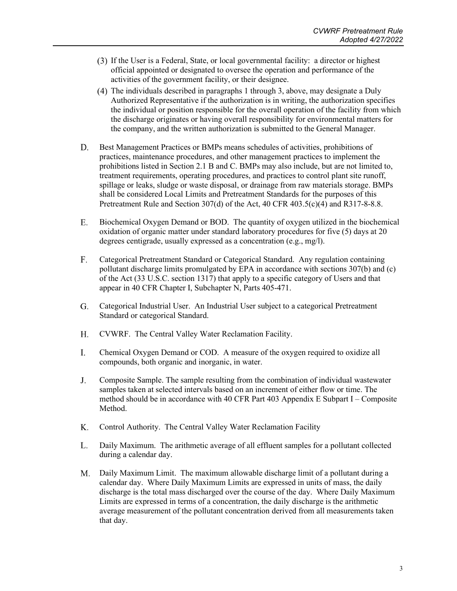- If the User is a Federal, State, or local governmental facility: a director or highest official appointed or designated to oversee the operation and performance of the activities of the government facility, or their designee.
- The individuals described in paragraphs 1 through 3, above, may designate a Duly Authorized Representative if the authorization is in writing, the authorization specifies the individual or position responsible for the overall operation of the facility from which the discharge originates or having overall responsibility for environmental matters for the company, and the written authorization is submitted to the General Manager.
- D. Best Management Practices or BMPs means schedules of activities, prohibitions of practices, maintenance procedures, and other management practices to implement the prohibitions listed in Section 2.1 B and C. BMPs may also include, but are not limited to, treatment requirements, operating procedures, and practices to control plant site runoff, spillage or leaks, sludge or waste disposal, or drainage from raw materials storage. BMPs shall be considered Local Limits and Pretreatment Standards for the purposes of this Pretreatment Rule and Section 307(d) of the Act, 40 CFR 403.5(c)(4) and R317-8-8.8.
- E. Biochemical Oxygen Demand or BOD. The quantity of oxygen utilized in the biochemical oxidation of organic matter under standard laboratory procedures for five (5) days at 20 degrees centigrade, usually expressed as a concentration (e.g., mg/l).
- Categorical Pretreatment Standard or Categorical Standard. Any regulation containing  $F<sub>1</sub>$ pollutant discharge limits promulgated by EPA in accordance with sections 307(b) and (c) of the Act (33 U.S.C. section 1317) that apply to a specific category of Users and that appear in 40 CFR Chapter I, Subchapter N, Parts 405-471.
- Categorical Industrial User. An Industrial User subject to a categorical Pretreatment G. Standard or categorical Standard.
- H. CVWRF. The Central Valley Water Reclamation Facility.
- I. Chemical Oxygen Demand or COD. A measure of the oxygen required to oxidize all compounds, both organic and inorganic, in water.
- $J<sub>1</sub>$ Composite Sample. The sample resulting from the combination of individual wastewater samples taken at selected intervals based on an increment of either flow or time. The method should be in accordance with 40 CFR Part 403 Appendix E Subpart I – Composite Method.
- K. Control Authority. The Central Valley Water Reclamation Facility
- L. Daily Maximum. The arithmetic average of all effluent samples for a pollutant collected during a calendar day.
- Daily Maximum Limit. The maximum allowable discharge limit of a pollutant during a calendar day. Where Daily Maximum Limits are expressed in units of mass, the daily discharge is the total mass discharged over the course of the day. Where Daily Maximum Limits are expressed in terms of a concentration, the daily discharge is the arithmetic average measurement of the pollutant concentration derived from all measurements taken that day.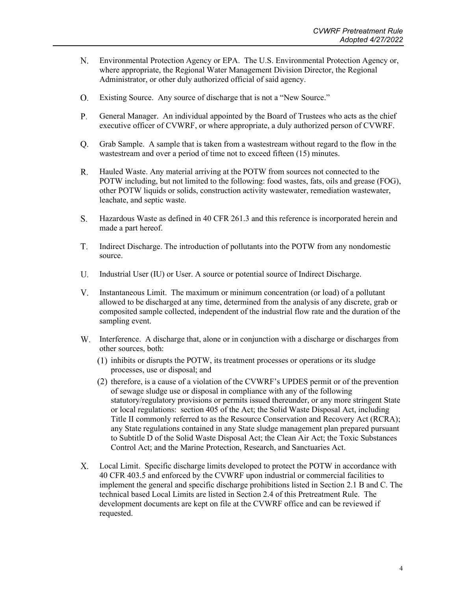- N. Environmental Protection Agency or EPA. The U.S. Environmental Protection Agency or, where appropriate, the Regional Water Management Division Director, the Regional Administrator, or other duly authorized official of said agency.
- $O<sub>1</sub>$ Existing Source. Any source of discharge that is not a "New Source."
- $P_{\cdot}$ General Manager. An individual appointed by the Board of Trustees who acts as the chief executive officer of CVWRF, or where appropriate, a duly authorized person of CVWRF.
- Grab Sample. A sample that is taken from a wastestream without regard to the flow in the  $O<sub>1</sub>$ wastestream and over a period of time not to exceed fifteen (15) minutes.
- $R_{\cdot}$ Hauled Waste. Any material arriving at the POTW from sources not connected to the POTW including, but not limited to the following: food wastes, fats, oils and grease (FOG), other POTW liquids or solids, construction activity wastewater, remediation wastewater, leachate, and septic waste.
- Hazardous Waste as defined in 40 CFR 261.3 and this reference is incorporated herein and S. made a part hereof.
- T. Indirect Discharge. The introduction of pollutants into the POTW from any nondomestic source.
- U. Industrial User (IU) or User. A source or potential source of Indirect Discharge.
- $V_{\cdot}$ Instantaneous Limit. The maximum or minimum concentration (or load) of a pollutant allowed to be discharged at any time, determined from the analysis of any discrete, grab or composited sample collected, independent of the industrial flow rate and the duration of the sampling event.
- Interference. A discharge that, alone or in conjunction with a discharge or discharges from other sources, both:
	- inhibits or disrupts the POTW, its treatment processes or operations or its sludge processes, use or disposal; and
	- $(2)$  therefore, is a cause of a violation of the CVWRF's UPDES permit or of the prevention of sewage sludge use or disposal in compliance with any of the following statutory/regulatory provisions or permits issued thereunder, or any more stringent State or local regulations: section 405 of the Act; the Solid Waste Disposal Act, including Title II commonly referred to as the Resource Conservation and Recovery Act (RCRA); any State regulations contained in any State sludge management plan prepared pursuant to Subtitle D of the Solid Waste Disposal Act; the Clean Air Act; the Toxic Substances Control Act; and the Marine Protection, Research, and Sanctuaries Act.
- Local Limit. Specific discharge limits developed to protect the POTW in accordance with Х. 40 CFR 403.5 and enforced by the CVWRF upon industrial or commercial facilities to implement the general and specific discharge prohibitions listed in Section 2.1 B and C. The technical based Local Limits are listed in Section 2.4 of this Pretreatment Rule. The development documents are kept on file at the CVWRF office and can be reviewed if requested.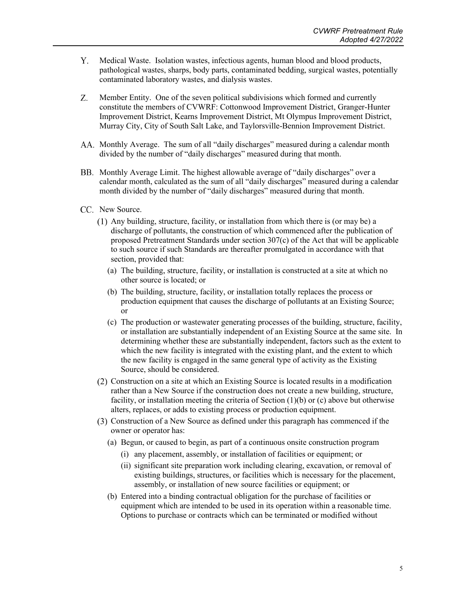- Y. Medical Waste. Isolation wastes, infectious agents, human blood and blood products, pathological wastes, sharps, body parts, contaminated bedding, surgical wastes, potentially contaminated laboratory wastes, and dialysis wastes.
- Z. Member Entity. One of the seven political subdivisions which formed and currently constitute the members of CVWRF: Cottonwood Improvement District, Granger-Hunter Improvement District, Kearns Improvement District, Mt Olympus Improvement District, Murray City, City of South Salt Lake, and Taylorsville-Bennion Improvement District.
- Monthly Average. The sum of all "daily discharges" measured during a calendar month divided by the number of "daily discharges" measured during that month.
- BB. Monthly Average Limit. The highest allowable average of "daily discharges" over a calendar month, calculated as the sum of all "daily discharges" measured during a calendar month divided by the number of "daily discharges" measured during that month.
- CC. New Source.
	- Any building, structure, facility, or installation from which there is (or may be) a discharge of pollutants, the construction of which commenced after the publication of proposed Pretreatment Standards under section 307(c) of the Act that will be applicable to such source if such Standards are thereafter promulgated in accordance with that section, provided that:
		- (a) The building, structure, facility, or installation is constructed at a site at which no other source is located; or
		- (b) The building, structure, facility, or installation totally replaces the process or production equipment that causes the discharge of pollutants at an Existing Source; or
		- (c) The production or wastewater generating processes of the building, structure, facility, or installation are substantially independent of an Existing Source at the same site. In determining whether these are substantially independent, factors such as the extent to which the new facility is integrated with the existing plant, and the extent to which the new facility is engaged in the same general type of activity as the Existing Source, should be considered.
	- Construction on a site at which an Existing Source is located results in a modification rather than a New Source if the construction does not create a new building, structure, facility, or installation meeting the criteria of Section  $(1)(b)$  or  $(c)$  above but otherwise alters, replaces, or adds to existing process or production equipment.
	- Construction of a New Source as defined under this paragraph has commenced if the owner or operator has:
		- (a) Begun, or caused to begin, as part of a continuous onsite construction program
			- (i) any placement, assembly, or installation of facilities or equipment; or
			- (ii) significant site preparation work including clearing, excavation, or removal of existing buildings, structures, or facilities which is necessary for the placement, assembly, or installation of new source facilities or equipment; or
		- (b) Entered into a binding contractual obligation for the purchase of facilities or equipment which are intended to be used in its operation within a reasonable time. Options to purchase or contracts which can be terminated or modified without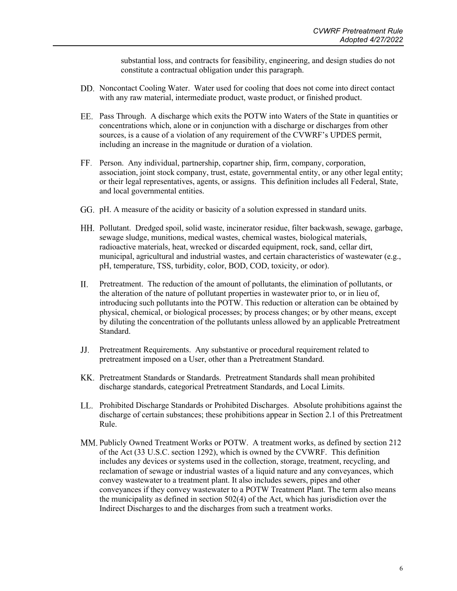substantial loss, and contracts for feasibility, engineering, and design studies do not constitute a contractual obligation under this paragraph.

- Noncontact Cooling Water. Water used for cooling that does not come into direct contact with any raw material, intermediate product, waste product, or finished product.
- Pass Through. A discharge which exits the POTW into Waters of the State in quantities or concentrations which, alone or in conjunction with a discharge or discharges from other sources, is a cause of a violation of any requirement of the CVWRF's UPDES permit, including an increase in the magnitude or duration of a violation.
- Person. Any individual, partnership, copartner ship, firm, company, corporation, association, joint stock company, trust, estate, governmental entity, or any other legal entity; or their legal representatives, agents, or assigns. This definition includes all Federal, State, and local governmental entities.
- GG. pH. A measure of the acidity or basicity of a solution expressed in standard units.
- Pollutant. Dredged spoil, solid waste, incinerator residue, filter backwash, sewage, garbage, sewage sludge, munitions, medical wastes, chemical wastes, biological materials, radioactive materials, heat, wrecked or discarded equipment, rock, sand, cellar dirt, municipal, agricultural and industrial wastes, and certain characteristics of wastewater (e.g., pH, temperature, TSS, turbidity, color, BOD, COD, toxicity, or odor).
- Pretreatment. The reduction of the amount of pollutants, the elimination of pollutants, or II. the alteration of the nature of pollutant properties in wastewater prior to, or in lieu of, introducing such pollutants into the POTW. This reduction or alteration can be obtained by physical, chemical, or biological processes; by process changes; or by other means, except by diluting the concentration of the pollutants unless allowed by an applicable Pretreatment Standard.
- Pretreatment Requirements. Any substantive or procedural requirement related to pretreatment imposed on a User, other than a Pretreatment Standard.
- KK. Pretreatment Standards or Standards. Pretreatment Standards shall mean prohibited discharge standards, categorical Pretreatment Standards, and Local Limits.
- Prohibited Discharge Standards or Prohibited Discharges. Absolute prohibitions against the discharge of certain substances; these prohibitions appear in Section 2.1 of this Pretreatment Rule.
- MM. Publicly Owned Treatment Works or POTW. A treatment works, as defined by section 212 of the Act (33 U.S.C. section 1292), which is owned by the CVWRF. This definition includes any devices or systems used in the collection, storage, treatment, recycling, and reclamation of sewage or industrial wastes of a liquid nature and any conveyances, which convey wastewater to a treatment plant. It also includes sewers, pipes and other conveyances if they convey wastewater to a POTW Treatment Plant. The term also means the municipality as defined in section 502(4) of the Act, which has jurisdiction over the Indirect Discharges to and the discharges from such a treatment works.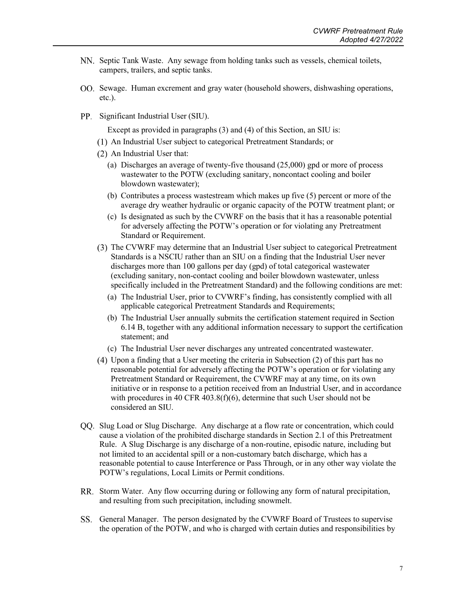- NN. Septic Tank Waste. Any sewage from holding tanks such as vessels, chemical toilets, campers, trailers, and septic tanks.
- OO. Sewage. Human excrement and gray water (household showers, dishwashing operations, etc.).
- PP. Significant Industrial User (SIU).

Except as provided in paragraphs (3) and (4) of this Section, an SIU is:

- An Industrial User subject to categorical Pretreatment Standards; or
- (2) An Industrial User that:
	- (a) Discharges an average of twenty-five thousand (25,000) gpd or more of process wastewater to the POTW (excluding sanitary, noncontact cooling and boiler blowdown wastewater);
	- (b) Contributes a process wastestream which makes up five (5) percent or more of the average dry weather hydraulic or organic capacity of the POTW treatment plant; or
	- (c) Is designated as such by the CVWRF on the basis that it has a reasonable potential for adversely affecting the POTW's operation or for violating any Pretreatment Standard or Requirement.
- (3) The CVWRF may determine that an Industrial User subject to categorical Pretreatment Standards is a NSCIU rather than an SIU on a finding that the Industrial User never discharges more than 100 gallons per day (gpd) of total categorical wastewater (excluding sanitary, non-contact cooling and boiler blowdown wastewater, unless specifically included in the Pretreatment Standard) and the following conditions are met:
	- (a) The Industrial User, prior to CVWRF's finding, has consistently complied with all applicable categorical Pretreatment Standards and Requirements;
	- (b) The Industrial User annually submits the certification statement required in Section 6.14 B, together with any additional information necessary to support the certification statement; and
	- (c) The Industrial User never discharges any untreated concentrated wastewater.
- Upon a finding that a User meeting the criteria in Subsection (2) of this part has no reasonable potential for adversely affecting the POTW's operation or for violating any Pretreatment Standard or Requirement, the CVWRF may at any time, on its own initiative or in response to a petition received from an Industrial User, and in accordance with procedures in 40 CFR 403.8(f)(6), determine that such User should not be considered an SIU.
- QQ. Slug Load or Slug Discharge. Any discharge at a flow rate or concentration, which could cause a violation of the prohibited discharge standards in Section 2.1 of this Pretreatment Rule. A Slug Discharge is any discharge of a non-routine, episodic nature, including but not limited to an accidental spill or a non-customary batch discharge, which has a reasonable potential to cause Interference or Pass Through, or in any other way violate the POTW's regulations, Local Limits or Permit conditions.
- RR. Storm Water. Any flow occurring during or following any form of natural precipitation, and resulting from such precipitation, including snowmelt.
- General Manager. The person designated by the CVWRF Board of Trustees to supervise the operation of the POTW, and who is charged with certain duties and responsibilities by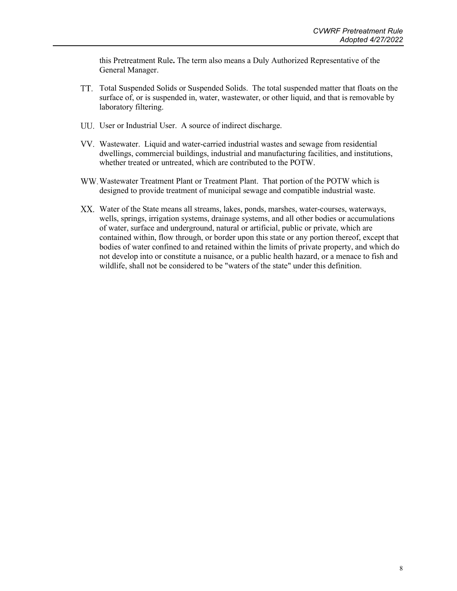this Pretreatment Rule**.** The term also means a Duly Authorized Representative of the General Manager.

- Total Suspended Solids or Suspended Solids. The total suspended matter that floats on the surface of, or is suspended in, water, wastewater, or other liquid, and that is removable by laboratory filtering.
- UU. User or Industrial User. A source of indirect discharge.
- Wastewater. Liquid and water-carried industrial wastes and sewage from residential dwellings, commercial buildings, industrial and manufacturing facilities, and institutions, whether treated or untreated, which are contributed to the POTW.
- Wastewater Treatment Plant or Treatment Plant. That portion of the POTW which is designed to provide treatment of municipal sewage and compatible industrial waste.
- Water of the State means all streams, lakes, ponds, marshes, water-courses, waterways, wells, springs, irrigation systems, drainage systems, and all other bodies or accumulations of water, surface and underground, natural or artificial, public or private, which are contained within, flow through, or border upon this state or any portion thereof, except that bodies of water confined to and retained within the limits of private property, and which do not develop into or constitute a nuisance, or a public health hazard, or a menace to fish and wildlife, shall not be considered to be "waters of the state" under this definition.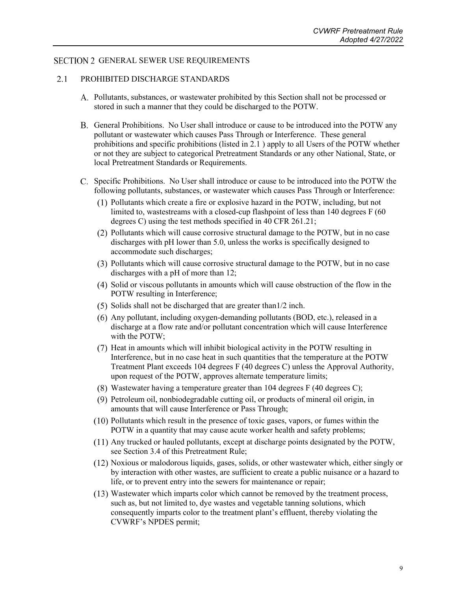### <span id="page-12-1"></span><span id="page-12-0"></span>SECTION 2 GENERAL SEWER USE REQUIREMENTS

#### $2.1$ PROHIBITED DISCHARGE STANDARDS

- Pollutants, substances, or wastewater prohibited by this Section shall not be processed or stored in such a manner that they could be discharged to the POTW.
- General Prohibitions. No User shall introduce or cause to be introduced into the POTW any pollutant or wastewater which causes Pass Through or Interference. These general prohibitions and specific prohibitions (listed in 2.1 ) apply to all Users of the POTW whether or not they are subject to categorical Pretreatment Standards or any other National, State, or local Pretreatment Standards or Requirements.
- C. Specific Prohibitions. No User shall introduce or cause to be introduced into the POTW the following pollutants, substances, or wastewater which causes Pass Through or Interference:
	- Pollutants which create a fire or explosive hazard in the POTW, including, but not limited to, wastestreams with a closed-cup flashpoint of less than 140 degrees F (60 degrees C) using the test methods specified in 40 CFR 261.21;
	- Pollutants which will cause corrosive structural damage to the POTW, but in no case discharges with pH lower than 5.0, unless the works is specifically designed to accommodate such discharges;
	- Pollutants which will cause corrosive structural damage to the POTW, but in no case discharges with a pH of more than 12;
	- Solid or viscous pollutants in amounts which will cause obstruction of the flow in the POTW resulting in Interference;
	- $(5)$  Solids shall not be discharged that are greater than  $1/2$  inch.
	- $(6)$  Any pollutant, including oxygen-demanding pollutants (BOD, etc.), released in a discharge at a flow rate and/or pollutant concentration which will cause Interference with the POTW;
	- $(7)$  Heat in amounts which will inhibit biological activity in the POTW resulting in Interference, but in no case heat in such quantities that the temperature at the POTW Treatment Plant exceeds 104 degrees F (40 degrees C) unless the Approval Authority, upon request of the POTW, approves alternate temperature limits;
	- (8) Wastewater having a temperature greater than  $104$  degrees F (40 degrees C);
	- Petroleum oil, nonbiodegradable cutting oil, or products of mineral oil origin, in amounts that will cause Interference or Pass Through;
	- Pollutants which result in the presence of toxic gases, vapors, or fumes within the POTW in a quantity that may cause acute worker health and safety problems;
	- Any trucked or hauled pollutants, except at discharge points designated by the POTW, see Section 3.4 of this Pretreatment Rule;
	- Noxious or malodorous liquids, gases, solids, or other wastewater which, either singly or by interaction with other wastes, are sufficient to create a public nuisance or a hazard to life, or to prevent entry into the sewers for maintenance or repair;
	- Wastewater which imparts color which cannot be removed by the treatment process, such as, but not limited to, dye wastes and vegetable tanning solutions, which consequently imparts color to the treatment plant's effluent, thereby violating the CVWRF's NPDES permit;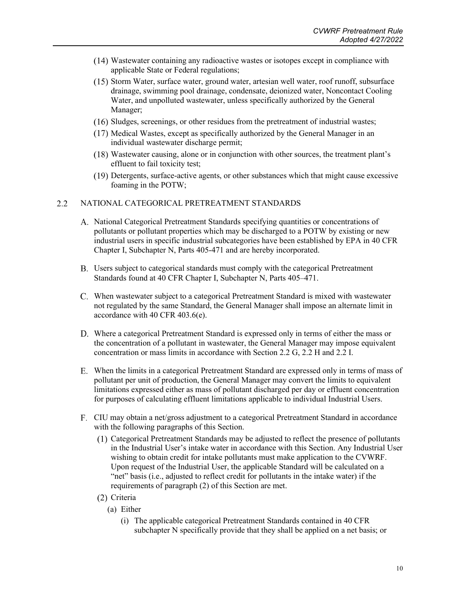- Wastewater containing any radioactive wastes or isotopes except in compliance with applicable State or Federal regulations;
- $(15)$  Storm Water, surface water, ground water, artesian well water, roof runoff, subsurface drainage, swimming pool drainage, condensate, deionized water, Noncontact Cooling Water, and unpolluted wastewater, unless specifically authorized by the General Manager;
- $(16)$  Sludges, screenings, or other residues from the pretreatment of industrial wastes;
- $(17)$  Medical Wastes, except as specifically authorized by the General Manager in an individual wastewater discharge permit;
- Wastewater causing, alone or in conjunction with other sources, the treatment plant's effluent to fail toxicity test;
- $(19)$  Detergents, surface-active agents, or other substances which that might cause excessive foaming in the POTW;

#### <span id="page-13-0"></span> $2.2$ NATIONAL CATEGORICAL PRETREATMENT STANDARDS

- A. National Categorical Pretreatment Standards specifying quantities or concentrations of pollutants or pollutant properties which may be discharged to a POTW by existing or new industrial users in specific industrial subcategories have been established by EPA in 40 CFR Chapter I, Subchapter N, Parts 405-471 and are hereby incorporated.
- Users subject to categorical standards must comply with the categorical Pretreatment Standards found at 40 CFR Chapter I, Subchapter N, Parts 405–471.
- When wastewater subject to a categorical Pretreatment Standard is mixed with wastewater not regulated by the same Standard, the General Manager shall impose an alternate limit in accordance with 40 CFR 403.6(e).
- Where a categorical Pretreatment Standard is expressed only in terms of either the mass or the concentration of a pollutant in wastewater, the General Manager may impose equivalent concentration or mass limits in accordance with Section 2.2 G, 2.2 H and 2.2 I.
- When the limits in a categorical Pretreatment Standard are expressed only in terms of mass of pollutant per unit of production, the General Manager may convert the limits to equivalent limitations expressed either as mass of pollutant discharged per day or effluent concentration for purposes of calculating effluent limitations applicable to individual Industrial Users.
- CIU may obtain a net/gross adjustment to a categorical Pretreatment Standard in accordance with the following paragraphs of this Section.
	- Categorical Pretreatment Standards may be adjusted to reflect the presence of pollutants in the Industrial User's intake water in accordance with this Section. Any Industrial User wishing to obtain credit for intake pollutants must make application to the CVWRF. Upon request of the Industrial User, the applicable Standard will be calculated on a "net" basis (i.e., adjusted to reflect credit for pollutants in the intake water) if the requirements of paragraph (2) of this Section are met.
	- (2) Criteria
		- (a) Either
			- (i) The applicable categorical Pretreatment Standards contained in 40 CFR subchapter N specifically provide that they shall be applied on a net basis; or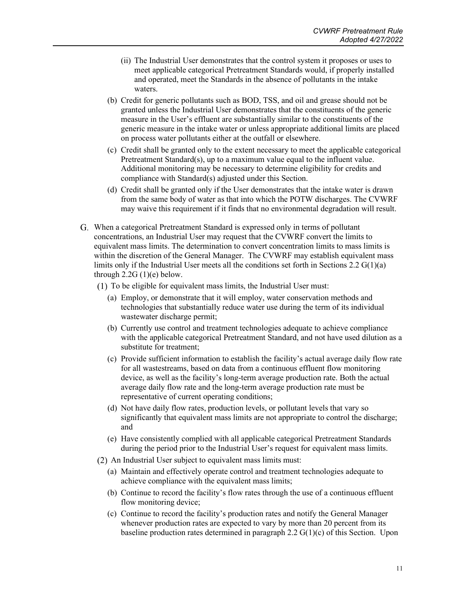- (ii) The Industrial User demonstrates that the control system it proposes or uses to meet applicable categorical Pretreatment Standards would, if properly installed and operated, meet the Standards in the absence of pollutants in the intake waters.
- (b) Credit for generic pollutants such as BOD, TSS, and oil and grease should not be granted unless the Industrial User demonstrates that the constituents of the generic measure in the User's effluent are substantially similar to the constituents of the generic measure in the intake water or unless appropriate additional limits are placed on process water pollutants either at the outfall or elsewhere.
- (c) Credit shall be granted only to the extent necessary to meet the applicable categorical Pretreatment Standard(s), up to a maximum value equal to the influent value. Additional monitoring may be necessary to determine eligibility for credits and compliance with Standard(s) adjusted under this Section.
- (d) Credit shall be granted only if the User demonstrates that the intake water is drawn from the same body of water as that into which the POTW discharges. The CVWRF may waive this requirement if it finds that no environmental degradation will result.
- When a categorical Pretreatment Standard is expressed only in terms of pollutant concentrations, an Industrial User may request that the CVWRF convert the limits to equivalent mass limits. The determination to convert concentration limits to mass limits is within the discretion of the General Manager. The CVWRF may establish equivalent mass limits only if the Industrial User meets all the conditions set forth in Sections 2.2  $G(1)(a)$ through  $2.2G(1)(e)$  below.
	- $(1)$  To be eligible for equivalent mass limits, the Industrial User must:
		- (a) Employ, or demonstrate that it will employ, water conservation methods and technologies that substantially reduce water use during the term of its individual wastewater discharge permit;
		- (b) Currently use control and treatment technologies adequate to achieve compliance with the applicable categorical Pretreatment Standard, and not have used dilution as a substitute for treatment;
		- (c) Provide sufficient information to establish the facility's actual average daily flow rate for all wastestreams, based on data from a continuous effluent flow monitoring device, as well as the facility's long-term average production rate. Both the actual average daily flow rate and the long-term average production rate must be representative of current operating conditions;
		- (d) Not have daily flow rates, production levels, or pollutant levels that vary so significantly that equivalent mass limits are not appropriate to control the discharge; and
		- (e) Have consistently complied with all applicable categorical Pretreatment Standards during the period prior to the Industrial User's request for equivalent mass limits.
	- (2) An Industrial User subject to equivalent mass limits must:
		- (a) Maintain and effectively operate control and treatment technologies adequate to achieve compliance with the equivalent mass limits;
		- (b) Continue to record the facility's flow rates through the use of a continuous effluent flow monitoring device;
		- (c) Continue to record the facility's production rates and notify the General Manager whenever production rates are expected to vary by more than 20 percent from its baseline production rates determined in paragraph 2.2 G(1)(c) of this Section. Upon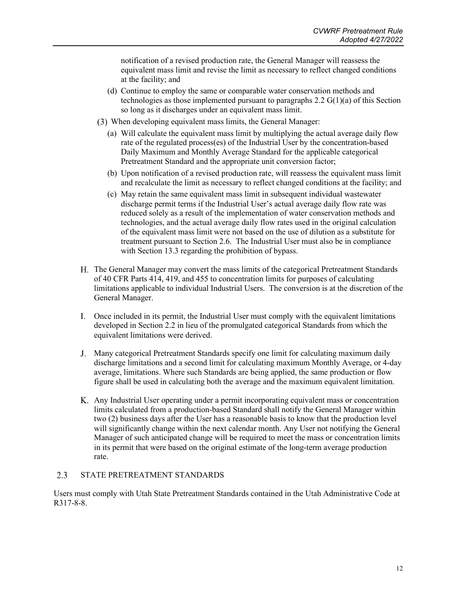notification of a revised production rate, the General Manager will reassess the equivalent mass limit and revise the limit as necessary to reflect changed conditions at the facility; and

- (d) Continue to employ the same or comparable water conservation methods and technologies as those implemented pursuant to paragraphs  $2.2 \text{ G}(1)(a)$  of this Section so long as it discharges under an equivalent mass limit.
- When developing equivalent mass limits, the General Manager:
	- (a) Will calculate the equivalent mass limit by multiplying the actual average daily flow rate of the regulated process(es) of the Industrial User by the concentration-based Daily Maximum and Monthly Average Standard for the applicable categorical Pretreatment Standard and the appropriate unit conversion factor;
	- (b) Upon notification of a revised production rate, will reassess the equivalent mass limit and recalculate the limit as necessary to reflect changed conditions at the facility; and
	- (c) May retain the same equivalent mass limit in subsequent individual wastewater discharge permit terms if the Industrial User's actual average daily flow rate was reduced solely as a result of the implementation of water conservation methods and technologies, and the actual average daily flow rates used in the original calculation of the equivalent mass limit were not based on the use of dilution as a substitute for treatment pursuant to Section 2.6. The Industrial User must also be in compliance with Section 13.3 regarding the prohibition of bypass.
- The General Manager may convert the mass limits of the categorical Pretreatment Standards of 40 CFR Parts 414, 419, and 455 to concentration limits for purposes of calculating limitations applicable to individual Industrial Users. The conversion is at the discretion of the General Manager.
- Once included in its permit, the Industrial User must comply with the equivalent limitations developed in Section 2.2 in lieu of the promulgated categorical Standards from which the equivalent limitations were derived.
- Many categorical Pretreatment Standards specify one limit for calculating maximum daily discharge limitations and a second limit for calculating maximum Monthly Average, or 4-day average, limitations. Where such Standards are being applied, the same production or flow figure shall be used in calculating both the average and the maximum equivalent limitation.
- Any Industrial User operating under a permit incorporating equivalent mass or concentration limits calculated from a production-based Standard shall notify the General Manager within two (2) business days after the User has a reasonable basis to know that the production level will significantly change within the next calendar month. Any User not notifying the General Manager of such anticipated change will be required to meet the mass or concentration limits in its permit that were based on the original estimate of the long-term average production rate.

#### <span id="page-15-0"></span>2.3 STATE PRETREATMENT STANDARDS

Users must comply with Utah State Pretreatment Standards contained in the Utah Administrative Code at R317-8-8.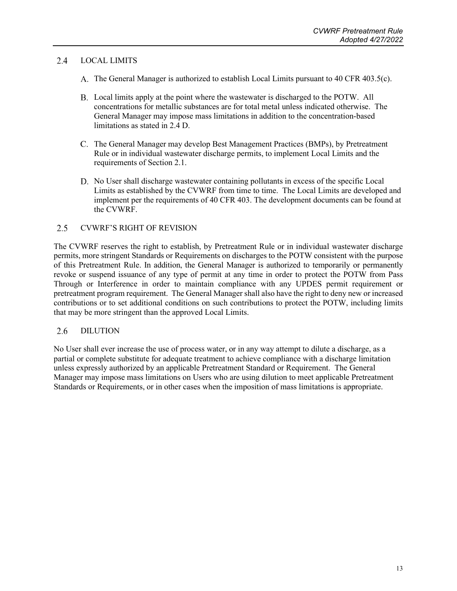#### <span id="page-16-0"></span>2.4 LOCAL LIMITS

- A. The General Manager is authorized to establish Local Limits pursuant to 40 CFR 403.5(c).
- Local limits apply at the point where the wastewater is discharged to the POTW. All concentrations for metallic substances are for total metal unless indicated otherwise. The General Manager may impose mass limitations in addition to the concentration-based limitations as stated in 2.4 D.
- C. The General Manager may develop Best Management Practices (BMPs), by Pretreatment Rule or in individual wastewater discharge permits, to implement Local Limits and the requirements of Section 2.1.
- D. No User shall discharge wastewater containing pollutants in excess of the specific Local Limits as established by the CVWRF from time to time. The Local Limits are developed and implement per the requirements of 40 CFR 403. The development documents can be found at the CVWRF.

#### <span id="page-16-1"></span> $2.5$ CVWRF'S RIGHT OF REVISION

The CVWRF reserves the right to establish, by Pretreatment Rule or in individual wastewater discharge permits, more stringent Standards or Requirements on discharges to the POTW consistent with the purpose of this Pretreatment Rule. In addition, the General Manager is authorized to temporarily or permanently revoke or suspend issuance of any type of permit at any time in order to protect the POTW from Pass Through or Interference in order to maintain compliance with any UPDES permit requirement or pretreatment program requirement. The General Manager shall also have the right to deny new or increased contributions or to set additional conditions on such contributions to protect the POTW, including limits that may be more stringent than the approved Local Limits.

#### <span id="page-16-2"></span>2.6 DILUTION

No User shall ever increase the use of process water, or in any way attempt to dilute a discharge, as a partial or complete substitute for adequate treatment to achieve compliance with a discharge limitation unless expressly authorized by an applicable Pretreatment Standard or Requirement. The General Manager may impose mass limitations on Users who are using dilution to meet applicable Pretreatment Standards or Requirements, or in other cases when the imposition of mass limitations is appropriate.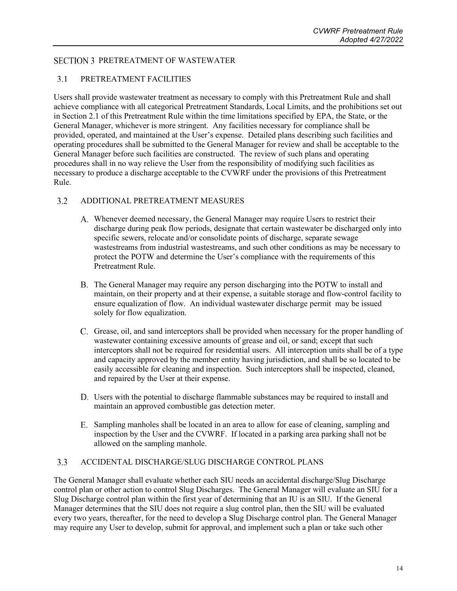### <span id="page-17-1"></span><span id="page-17-0"></span>**SECTION 3 PRETREATMENT OF WASTEWATER**

#### $3.1$ PRETREATMENT FACILITIES

Users shall provide wastewater treatment as necessary to comply with this Pretreatment Rule and shall achieve compliance with all categorical Pretreatment Standards, Local Limits, and the prohibitions set out in Section 2.1 of this Pretreatment Rule within the time limitations specified by EPA, the State, or the General Manager, whichever is more stringent. Any facilities necessary for compliance shall be provided, operated, and maintained at the User's expense. Detailed plans describing such facilities and operating procedures shall be submitted to the General Manager for review and shall be acceptable to the General Manager before such facilities are constructed. The review of such plans and operating procedures shall in no way relieve the User from the responsibility of modifying such facilities as necessary to produce a discharge acceptable to the CVWRF under the provisions of this Pretreatment Rule.

#### <span id="page-17-2"></span> $3.2$ ADDITIONAL PRETREATMENT MEASURES

- Whenever deemed necessary, the General Manager may require Users to restrict their discharge during peak flow periods, designate that certain wastewater be discharged only into specific sewers, relocate and/or consolidate points of discharge, separate sewage wastestreams from industrial wastestreams, and such other conditions as may be necessary to protect the POTW and determine the User's compliance with the requirements of this Pretreatment Rule.
- The General Manager may require any person discharging into the POTW to install and maintain, on their property and at their expense, a suitable storage and flow-control facility to ensure equalization of flow. An individual wastewater discharge permit may be issued solely for flow equalization.
- Grease, oil, and sand interceptors shall be provided when necessary for the proper handling of wastewater containing excessive amounts of grease and oil, or sand; except that such interceptors shall not be required for residential users. All interception units shall be of a type and capacity approved by the member entity having jurisdiction, and shall be so located to be easily accessible for cleaning and inspection. Such interceptors shall be inspected, cleaned, and repaired by the User at their expense.
- Users with the potential to discharge flammable substances may be required to install and maintain an approved combustible gas detection meter.
- Sampling manholes shall be located in an area to allow for ease of cleaning, sampling and inspection by the User and the CVWRF. If located in a parking area parking shall not be allowed on the sampling manhole.

#### <span id="page-17-3"></span>ACCIDENTAL DISCHARGE/SLUG DISCHARGE CONTROL PLANS  $3.3$

The General Manager shall evaluate whether each SIU needs an accidental discharge/Slug Discharge control plan or other action to control Slug Discharges. The General Manager will evaluate an SIU for a Slug Discharge control plan within the first year of determining that an IU is an SIU. If the General Manager determines that the SIU does not require a slug control plan, then the SIU will be evaluated every two years, thereafter, for the need to develop a Slug Discharge control plan. The General Manager may require any User to develop, submit for approval, and implement such a plan or take such other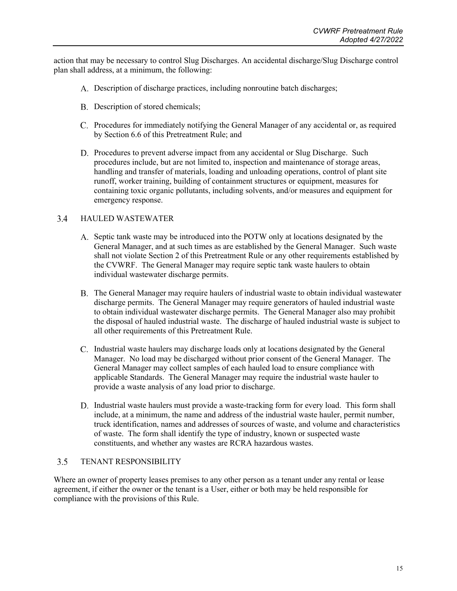action that may be necessary to control Slug Discharges. An accidental discharge/Slug Discharge control plan shall address, at a minimum, the following:

- Description of discharge practices, including nonroutine batch discharges;
- B. Description of stored chemicals;
- Procedures for immediately notifying the General Manager of any accidental or, as required by Section 6.6 of this Pretreatment Rule; and
- Procedures to prevent adverse impact from any accidental or Slug Discharge. Such procedures include, but are not limited to, inspection and maintenance of storage areas, handling and transfer of materials, loading and unloading operations, control of plant site runoff, worker training, building of containment structures or equipment, measures for containing toxic organic pollutants, including solvents, and/or measures and equipment for emergency response.

#### <span id="page-18-0"></span> $3.4$ HAULED WASTEWATER

- A. Septic tank waste may be introduced into the POTW only at locations designated by the General Manager, and at such times as are established by the General Manager. Such waste shall not violate Section 2 of this Pretreatment Rule or any other requirements established by the CVWRF. The General Manager may require septic tank waste haulers to obtain individual wastewater discharge permits.
- The General Manager may require haulers of industrial waste to obtain individual wastewater discharge permits. The General Manager may require generators of hauled industrial waste to obtain individual wastewater discharge permits. The General Manager also may prohibit the disposal of hauled industrial waste. The discharge of hauled industrial waste is subject to all other requirements of this Pretreatment Rule.
- Industrial waste haulers may discharge loads only at locations designated by the General Manager. No load may be discharged without prior consent of the General Manager. The General Manager may collect samples of each hauled load to ensure compliance with applicable Standards. The General Manager may require the industrial waste hauler to provide a waste analysis of any load prior to discharge.
- D. Industrial waste haulers must provide a waste-tracking form for every load. This form shall include, at a minimum, the name and address of the industrial waste hauler, permit number, truck identification, names and addresses of sources of waste, and volume and characteristics of waste. The form shall identify the type of industry, known or suspected waste constituents, and whether any wastes are RCRA hazardous wastes.

#### <span id="page-18-1"></span> $3.5$ TENANT RESPONSIBILITY

Where an owner of property leases premises to any other person as a tenant under any rental or lease agreement, if either the owner or the tenant is a User, either or both may be held responsible for compliance with the provisions of this Rule.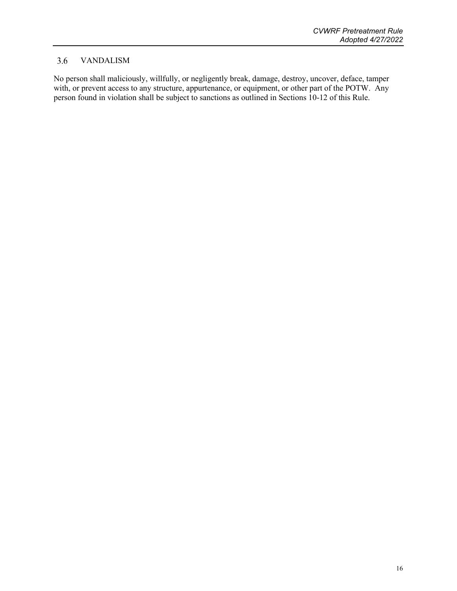#### <span id="page-19-0"></span>3.6 VANDALISM

No person shall maliciously, willfully, or negligently break, damage, destroy, uncover, deface, tamper with, or prevent access to any structure, appurtenance, or equipment, or other part of the POTW. Any person found in violation shall be subject to sanctions as outlined in Sections 10-12 of this Rule.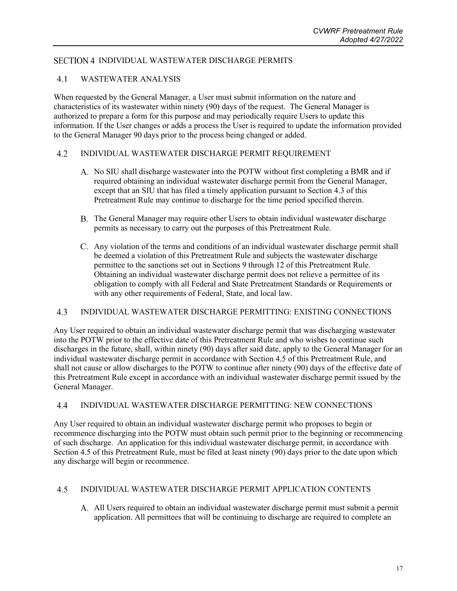### <span id="page-20-1"></span><span id="page-20-0"></span>SECTION 4 INDIVIDUAL WASTEWATER DISCHARGE PERMITS

#### $4.1$ WASTEWATER ANALYSIS

When requested by the General Manager, a User must submit information on the nature and characteristics of its wastewater within ninety (90) days of the request. The General Manager is authorized to prepare a form for this purpose and may periodically require Users to update this information. If the User changes or adds a process the User is required to update the information provided to the General Manager 90 days prior to the process being changed or added.

#### <span id="page-20-2"></span> $4.2$ INDIVIDUAL WASTEWATER DISCHARGE PERMIT REQUIREMENT

- A. No SIU shall discharge wastewater into the POTW without first completing a BMR and if required obtaining an individual wastewater discharge permit from the General Manager, except that an SIU that has filed a timely application pursuant to Section 4.3 of this Pretreatment Rule may continue to discharge for the time period specified therein.
- The General Manager may require other Users to obtain individual wastewater discharge permits as necessary to carry out the purposes of this Pretreatment Rule.
- Any violation of the terms and conditions of an individual wastewater discharge permit shall be deemed a violation of this Pretreatment Rule and subjects the wastewater discharge permittee to the sanctions set out in Sections 9 through 12 of this Pretreatment Rule. Obtaining an individual wastewater discharge permit does not relieve a permittee of its obligation to comply with all Federal and State Pretreatment Standards or Requirements or with any other requirements of Federal, State, and local law.

#### <span id="page-20-3"></span> $4.3$ INDIVIDUAL WASTEWATER DISCHARGE PERMITTING: EXISTING CONNECTIONS

Any User required to obtain an individual wastewater discharge permit that was discharging wastewater into the POTW prior to the effective date of this Pretreatment Rule and who wishes to continue such discharges in the future, shall, within ninety (90) days after said date, apply to the General Manager for an individual wastewater discharge permit in accordance with Section 4.5 of this Pretreatment Rule, and shall not cause or allow discharges to the POTW to continue after ninety (90) days of the effective date of this Pretreatment Rule except in accordance with an individual wastewater discharge permit issued by the General Manager.

#### <span id="page-20-4"></span> $4.4$ INDIVIDUAL WASTEWATER DISCHARGE PERMITTING: NEW CONNECTIONS

Any User required to obtain an individual wastewater discharge permit who proposes to begin or recommence discharging into the POTW must obtain such permit prior to the beginning or recommencing of such discharge. An application for this individual wastewater discharge permit, in accordance with Section 4.5 of this Pretreatment Rule, must be filed at least ninety (90) days prior to the date upon which any discharge will begin or recommence.

#### <span id="page-20-5"></span> $4.5$ INDIVIDUAL WASTEWATER DISCHARGE PERMIT APPLICATION CONTENTS

All Users required to obtain an individual wastewater discharge permit must submit a permit application. All permittees that will be continuing to discharge are required to complete an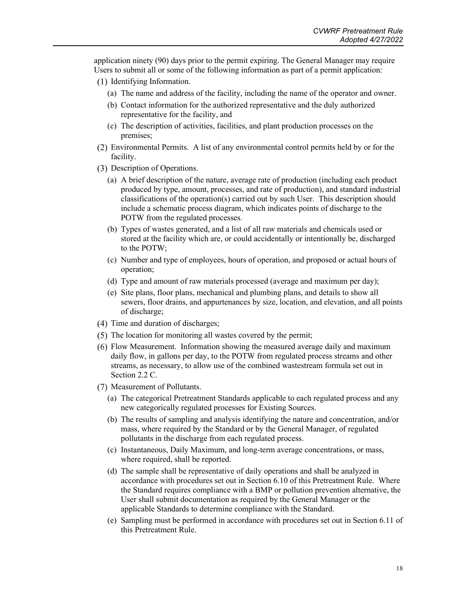application ninety (90) days prior to the permit expiring. The General Manager may require Users to submit all or some of the following information as part of a permit application:

- (1) Identifying Information.
	- (a) The name and address of the facility, including the name of the operator and owner.
	- (b) Contact information for the authorized representative and the duly authorized representative for the facility, and
	- (c) The description of activities, facilities, and plant production processes on the premises;
- Environmental Permits. A list of any environmental control permits held by or for the facility.
- Description of Operations.
	- (a) A brief description of the nature, average rate of production (including each product produced by type, amount, processes, and rate of production), and standard industrial classifications of the operation(s) carried out by such User. This description should include a schematic process diagram, which indicates points of discharge to the POTW from the regulated processes.
	- (b) Types of wastes generated, and a list of all raw materials and chemicals used or stored at the facility which are, or could accidentally or intentionally be, discharged to the POTW;
	- (c) Number and type of employees, hours of operation, and proposed or actual hours of operation;
	- (d) Type and amount of raw materials processed (average and maximum per day);
	- (e) Site plans, floor plans, mechanical and plumbing plans, and details to show all sewers, floor drains, and appurtenances by size, location, and elevation, and all points of discharge;
- (4) Time and duration of discharges;
- $(5)$  The location for monitoring all wastes covered by the permit;
- Flow Measurement. Information showing the measured average daily and maximum daily flow, in gallons per day, to the POTW from regulated process streams and other streams, as necessary, to allow use of the combined wastestream formula set out in Section 2.2 C.
- (7) Measurement of Pollutants.
	- (a) The categorical Pretreatment Standards applicable to each regulated process and any new categorically regulated processes for Existing Sources.
	- (b) The results of sampling and analysis identifying the nature and concentration, and/or mass, where required by the Standard or by the General Manager, of regulated pollutants in the discharge from each regulated process.
	- (c) Instantaneous, Daily Maximum, and long-term average concentrations, or mass, where required, shall be reported.
	- (d) The sample shall be representative of daily operations and shall be analyzed in accordance with procedures set out in Section 6.10 of this Pretreatment Rule. Where the Standard requires compliance with a BMP or pollution prevention alternative, the User shall submit documentation as required by the General Manager or the applicable Standards to determine compliance with the Standard.
	- (e) Sampling must be performed in accordance with procedures set out in Section 6.11 of this Pretreatment Rule.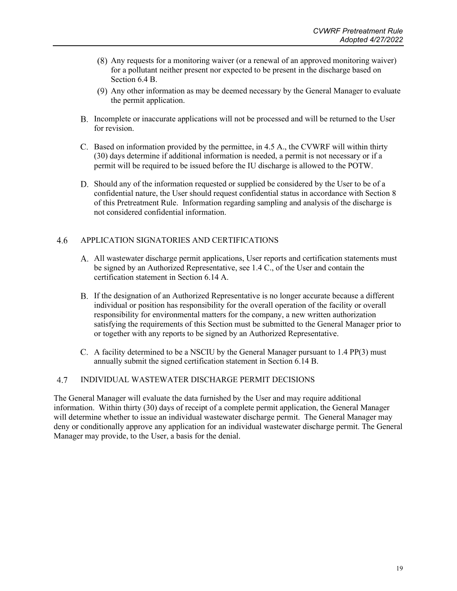- Any requests for a monitoring waiver (or a renewal of an approved monitoring waiver) for a pollutant neither present nor expected to be present in the discharge based on Section 6.4 B.
- (9) Any other information as may be deemed necessary by the General Manager to evaluate the permit application.
- B. Incomplete or inaccurate applications will not be processed and will be returned to the User for revision.
- Based on information provided by the permittee, in 4.5 A., the CVWRF will within thirty (30) days determine if additional information is needed, a permit is not necessary or if a permit will be required to be issued before the IU discharge is allowed to the POTW.
- D. Should any of the information requested or supplied be considered by the User to be of a confidential nature, the User should request confidential status in accordance with Section 8 of this Pretreatment Rule. Information regarding sampling and analysis of the discharge is not considered confidential information.

#### <span id="page-22-0"></span>4.6 APPLICATION SIGNATORIES AND CERTIFICATIONS

- All wastewater discharge permit applications, User reports and certification statements must be signed by an Authorized Representative, see 1.4 C., of the User and contain the certification statement in Section 6.14 A.
- If the designation of an Authorized Representative is no longer accurate because a different individual or position has responsibility for the overall operation of the facility or overall responsibility for environmental matters for the company, a new written authorization satisfying the requirements of this Section must be submitted to the General Manager prior to or together with any reports to be signed by an Authorized Representative.
- C. A facility determined to be a NSCIU by the General Manager pursuant to  $1.4 \text{ PP}(3)$  must annually submit the signed certification statement in Section 6.14 B.

#### <span id="page-22-1"></span>4.7 INDIVIDUAL WASTEWATER DISCHARGE PERMIT DECISIONS

The General Manager will evaluate the data furnished by the User and may require additional information. Within thirty (30) days of receipt of a complete permit application, the General Manager will determine whether to issue an individual wastewater discharge permit. The General Manager may deny or conditionally approve any application for an individual wastewater discharge permit. The General Manager may provide, to the User, a basis for the denial.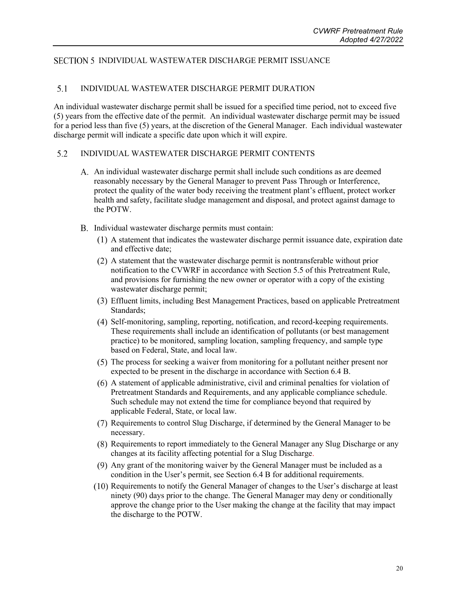### <span id="page-23-0"></span>SECTION 5 INDIVIDUAL WASTEWATER DISCHARGE PERMIT ISSUANCE

#### <span id="page-23-1"></span> $5.1$ INDIVIDUAL WASTEWATER DISCHARGE PERMIT DURATION

An individual wastewater discharge permit shall be issued for a specified time period, not to exceed five (5) years from the effective date of the permit. An individual wastewater discharge permit may be issued for a period less than five (5) years, at the discretion of the General Manager. Each individual wastewater discharge permit will indicate a specific date upon which it will expire.

#### <span id="page-23-2"></span>5.2 INDIVIDUAL WASTEWATER DISCHARGE PERMIT CONTENTS

- An individual wastewater discharge permit shall include such conditions as are deemed reasonably necessary by the General Manager to prevent Pass Through or Interference, protect the quality of the water body receiving the treatment plant's effluent, protect worker health and safety, facilitate sludge management and disposal, and protect against damage to the POTW.
- B. Individual wastewater discharge permits must contain:
	- A statement that indicates the wastewater discharge permit issuance date, expiration date and effective date;
	- A statement that the wastewater discharge permit is nontransferable without prior notification to the CVWRF in accordance with Section 5.5 of this Pretreatment Rule, and provisions for furnishing the new owner or operator with a copy of the existing wastewater discharge permit;
	- Effluent limits, including Best Management Practices, based on applicable Pretreatment Standards;
	- Self-monitoring, sampling, reporting, notification, and record-keeping requirements. These requirements shall include an identification of pollutants (or best management practice) to be monitored, sampling location, sampling frequency, and sample type based on Federal, State, and local law.
	- The process for seeking a waiver from monitoring for a pollutant neither present nor expected to be present in the discharge in accordance with Section 6.4 B.
	- A statement of applicable administrative, civil and criminal penalties for violation of Pretreatment Standards and Requirements, and any applicable compliance schedule. Such schedule may not extend the time for compliance beyond that required by applicable Federal, State, or local law.
	- Requirements to control Slug Discharge, if determined by the General Manager to be necessary.
	- Requirements to report immediately to the General Manager any Slug Discharge or any changes at its facility affecting potential for a Slug Discharge.
	- (9) Any grant of the monitoring waiver by the General Manager must be included as a condition in the User's permit, see Section 6.4 B for additional requirements.
	- $(10)$  Requirements to notify the General Manager of changes to the User's discharge at least ninety (90) days prior to the change. The General Manager may deny or conditionally approve the change prior to the User making the change at the facility that may impact the discharge to the POTW.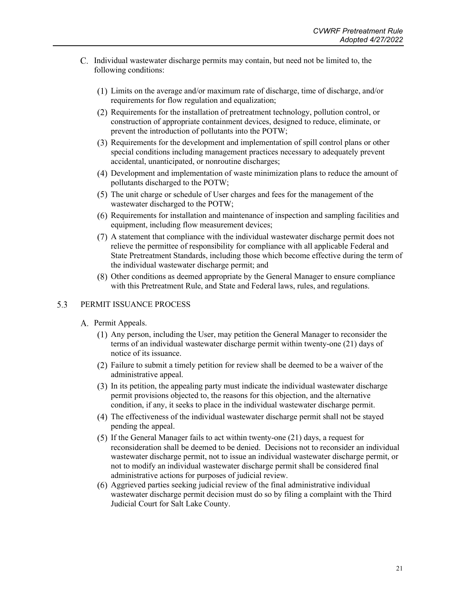- Individual wastewater discharge permits may contain, but need not be limited to, the following conditions:
	- Limits on the average and/or maximum rate of discharge, time of discharge, and/or requirements for flow regulation and equalization;
	- Requirements for the installation of pretreatment technology, pollution control, or construction of appropriate containment devices, designed to reduce, eliminate, or prevent the introduction of pollutants into the POTW;
	- Requirements for the development and implementation of spill control plans or other special conditions including management practices necessary to adequately prevent accidental, unanticipated, or nonroutine discharges;
	- Development and implementation of waste minimization plans to reduce the amount of pollutants discharged to the POTW;
	- (5) The unit charge or schedule of User charges and fees for the management of the wastewater discharged to the POTW;
	- Requirements for installation and maintenance of inspection and sampling facilities and equipment, including flow measurement devices;
	- A statement that compliance with the individual wastewater discharge permit does not relieve the permittee of responsibility for compliance with all applicable Federal and State Pretreatment Standards, including those which become effective during the term of the individual wastewater discharge permit; and
	- Other conditions as deemed appropriate by the General Manager to ensure compliance with this Pretreatment Rule, and State and Federal laws, rules, and regulations.

#### <span id="page-24-0"></span>5.3 PERMIT ISSUANCE PROCESS

- A. Permit Appeals.
	- Any person, including the User, may petition the General Manager to reconsider the terms of an individual wastewater discharge permit within twenty-one (21) days of notice of its issuance.
	- Failure to submit a timely petition for review shall be deemed to be a waiver of the administrative appeal.
	- In its petition, the appealing party must indicate the individual wastewater discharge permit provisions objected to, the reasons for this objection, and the alternative condition, if any, it seeks to place in the individual wastewater discharge permit.
	- The effectiveness of the individual wastewater discharge permit shall not be stayed pending the appeal.
	- $(5)$  If the General Manager fails to act within twenty-one  $(21)$  days, a request for reconsideration shall be deemed to be denied. Decisions not to reconsider an individual wastewater discharge permit, not to issue an individual wastewater discharge permit, or not to modify an individual wastewater discharge permit shall be considered final administrative actions for purposes of judicial review.
	- $(6)$  Aggrieved parties seeking judicial review of the final administrative individual wastewater discharge permit decision must do so by filing a complaint with the Third Judicial Court for Salt Lake County.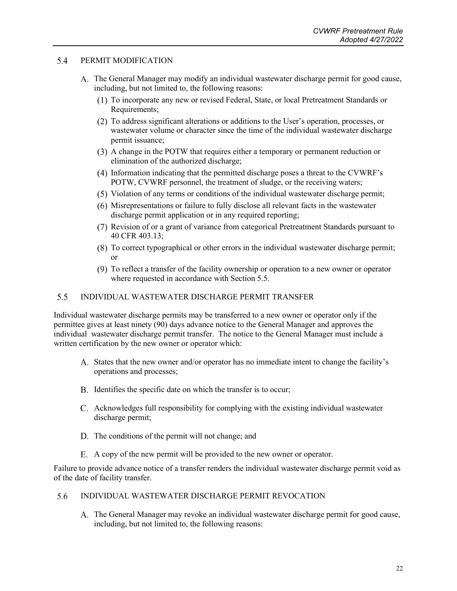#### <span id="page-25-0"></span>5.4 PERMIT MODIFICATION

- The General Manager may modify an individual wastewater discharge permit for good cause, including, but not limited to, the following reasons:
	- To incorporate any new or revised Federal, State, or local Pretreatment Standards or Requirements;
	- To address significant alterations or additions to the User's operation, processes, or wastewater volume or character since the time of the individual wastewater discharge permit issuance;
	- (3) A change in the POTW that requires either a temporary or permanent reduction or elimination of the authorized discharge;
	- (4) Information indicating that the permitted discharge poses a threat to the CVWRF's POTW, CVWRF personnel, the treatment of sludge, or the receiving waters;
	- Violation of any terms or conditions of the individual wastewater discharge permit;
	- Misrepresentations or failure to fully disclose all relevant facts in the wastewater discharge permit application or in any required reporting;
	- Revision of or a grant of variance from categorical Pretreatment Standards pursuant to 40 CFR 403.13;
	- To correct typographical or other errors in the individual wastewater discharge permit; or
	- To reflect a transfer of the facility ownership or operation to a new owner or operator where requested in accordance with Section 5.5.

#### <span id="page-25-1"></span> $5.5$ INDIVIDUAL WASTEWATER DISCHARGE PERMIT TRANSFER

Individual wastewater discharge permits may be transferred to a new owner or operator only if the permittee gives at least ninety (90) days advance notice to the General Manager and approves the individual wastewater discharge permit transfer. The notice to the General Manager must include a written certification by the new owner or operator which:

- States that the new owner and/or operator has no immediate intent to change the facility's operations and processes;
- B. Identifies the specific date on which the transfer is to occur;
- Acknowledges full responsibility for complying with the existing individual wastewater discharge permit;
- D. The conditions of the permit will not change; and
- A copy of the new permit will be provided to the new owner or operator.

Failure to provide advance notice of a transfer renders the individual wastewater discharge permit void as of the date of facility transfer.

#### <span id="page-25-2"></span>5.6 INDIVIDUAL WASTEWATER DISCHARGE PERMIT REVOCATION

The General Manager may revoke an individual wastewater discharge permit for good cause, including, but not limited to, the following reasons: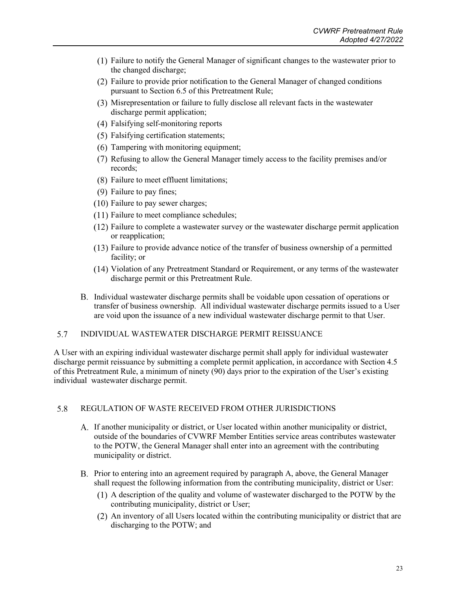- Failure to notify the General Manager of significant changes to the wastewater prior to the changed discharge;
- Failure to provide prior notification to the General Manager of changed conditions pursuant to Section 6.5 of this Pretreatment Rule;
- Misrepresentation or failure to fully disclose all relevant facts in the wastewater discharge permit application;
- Falsifying self-monitoring reports
- (5) Falsifying certification statements;
- (6) Tampering with monitoring equipment;
- Refusing to allow the General Manager timely access to the facility premises and/or records;
- Failure to meet effluent limitations;
- $(9)$  Failure to pay fines;
- $(10)$  Failure to pay sewer charges;
- $(11)$  Failure to meet compliance schedules;
- $(12)$  Failure to complete a wastewater survey or the wastewater discharge permit application or reapplication;
- $(13)$  Failure to provide advance notice of the transfer of business ownership of a permitted facility; or
- Violation of any Pretreatment Standard or Requirement, or any terms of the wastewater discharge permit or this Pretreatment Rule.
- Individual wastewater discharge permits shall be voidable upon cessation of operations or transfer of business ownership. All individual wastewater discharge permits issued to a User are void upon the issuance of a new individual wastewater discharge permit to that User.

#### <span id="page-26-0"></span>5.7 INDIVIDUAL WASTEWATER DISCHARGE PERMIT REISSUANCE

A User with an expiring individual wastewater discharge permit shall apply for individual wastewater discharge permit reissuance by submitting a complete permit application, in accordance with Section 4.5 of this Pretreatment Rule, a minimum of ninety (90) days prior to the expiration of the User's existing individual wastewater discharge permit.

#### <span id="page-26-1"></span>5.8 REGULATION OF WASTE RECEIVED FROM OTHER JURISDICTIONS

- If another municipality or district, or User located within another municipality or district, outside of the boundaries of CVWRF Member Entities service areas contributes wastewater to the POTW, the General Manager shall enter into an agreement with the contributing municipality or district.
- B. Prior to entering into an agreement required by paragraph A, above, the General Manager shall request the following information from the contributing municipality, district or User:
	- A description of the quality and volume of wastewater discharged to the POTW by the contributing municipality, district or User;
	- An inventory of all Users located within the contributing municipality or district that are discharging to the POTW; and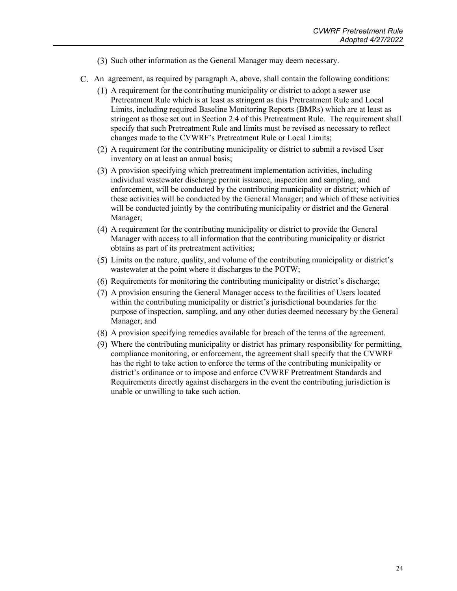- (3) Such other information as the General Manager may deem necessary.
- An agreement, as required by paragraph A, above, shall contain the following conditions:
	- A requirement for the contributing municipality or district to adopt a sewer use Pretreatment Rule which is at least as stringent as this Pretreatment Rule and Local Limits, including required Baseline Monitoring Reports (BMRs) which are at least as stringent as those set out in Section 2.4 of this Pretreatment Rule. The requirement shall specify that such Pretreatment Rule and limits must be revised as necessary to reflect changes made to the CVWRF's Pretreatment Rule or Local Limits;
	- A requirement for the contributing municipality or district to submit a revised User inventory on at least an annual basis;
	- A provision specifying which pretreatment implementation activities, including individual wastewater discharge permit issuance, inspection and sampling, and enforcement, will be conducted by the contributing municipality or district; which of these activities will be conducted by the General Manager; and which of these activities will be conducted jointly by the contributing municipality or district and the General Manager;
	- A requirement for the contributing municipality or district to provide the General Manager with access to all information that the contributing municipality or district obtains as part of its pretreatment activities;
	- Limits on the nature, quality, and volume of the contributing municipality or district's wastewater at the point where it discharges to the POTW;
	- Requirements for monitoring the contributing municipality or district's discharge;
	- A provision ensuring the General Manager access to the facilities of Users located within the contributing municipality or district's jurisdictional boundaries for the purpose of inspection, sampling, and any other duties deemed necessary by the General Manager; and
	- A provision specifying remedies available for breach of the terms of the agreement.
	- Where the contributing municipality or district has primary responsibility for permitting, compliance monitoring, or enforcement, the agreement shall specify that the CVWRF has the right to take action to enforce the terms of the contributing municipality or district's ordinance or to impose and enforce CVWRF Pretreatment Standards and Requirements directly against dischargers in the event the contributing jurisdiction is unable or unwilling to take such action.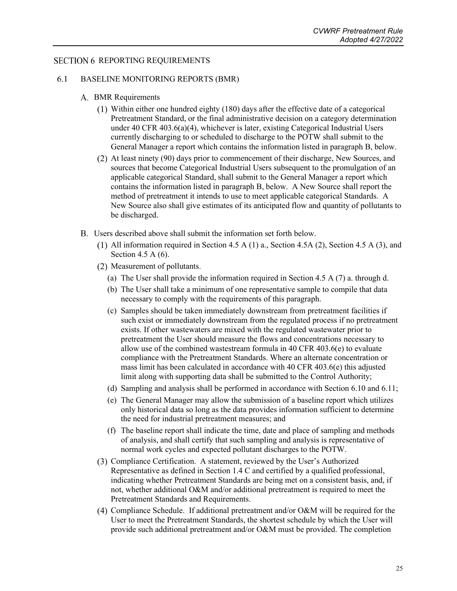### <span id="page-28-1"></span><span id="page-28-0"></span>**SECTION 6 REPORTING REQUIREMENTS**

#### 6.1 BASELINE MONITORING REPORTS (BMR)

### A. BMR Requirements

- $(1)$  Within either one hundred eighty  $(180)$  days after the effective date of a categorical Pretreatment Standard, or the final administrative decision on a category determination under 40 CFR 403.6(a)(4), whichever is later, existing Categorical Industrial Users currently discharging to or scheduled to discharge to the POTW shall submit to the General Manager a report which contains the information listed in paragraph B, below.
- At least ninety (90) days prior to commencement of their discharge, New Sources, and sources that become Categorical Industrial Users subsequent to the promulgation of an applicable categorical Standard, shall submit to the General Manager a report which contains the information listed in paragraph B, below. A New Source shall report the method of pretreatment it intends to use to meet applicable categorical Standards. A New Source also shall give estimates of its anticipated flow and quantity of pollutants to be discharged.
- Users described above shall submit the information set forth below.
	- (1) All information required in Section 4.5 A (1) a., Section 4.5 A (2), Section 4.5 A (3), and Section 4.5 A (6).
	- (2) Measurement of pollutants.
		- (a) The User shall provide the information required in Section 4.5 A (7) a. through d.
		- (b) The User shall take a minimum of one representative sample to compile that data necessary to comply with the requirements of this paragraph.
		- (c) Samples should be taken immediately downstream from pretreatment facilities if such exist or immediately downstream from the regulated process if no pretreatment exists. If other wastewaters are mixed with the regulated wastewater prior to pretreatment the User should measure the flows and concentrations necessary to allow use of the combined wastestream formula in 40 CFR  $403.6(e)$  to evaluate compliance with the Pretreatment Standards. Where an alternate concentration or mass limit has been calculated in accordance with 40 CFR 403.6(e) this adjusted limit along with supporting data shall be submitted to the Control Authority;
		- (d) Sampling and analysis shall be performed in accordance with Section 6.10 and 6.11;
		- (e) The General Manager may allow the submission of a baseline report which utilizes only historical data so long as the data provides information sufficient to determine the need for industrial pretreatment measures; and
		- (f) The baseline report shall indicate the time, date and place of sampling and methods of analysis, and shall certify that such sampling and analysis is representative of normal work cycles and expected pollutant discharges to the POTW.
	- Compliance Certification. A statement, reviewed by the User's Authorized Representative as defined in Section 1.4 C and certified by a qualified professional, indicating whether Pretreatment Standards are being met on a consistent basis, and, if not, whether additional O&M and/or additional pretreatment is required to meet the Pretreatment Standards and Requirements.
	- (4) Compliance Schedule. If additional pretreatment and/or O&M will be required for the User to meet the Pretreatment Standards, the shortest schedule by which the User will provide such additional pretreatment and/or O&M must be provided. The completion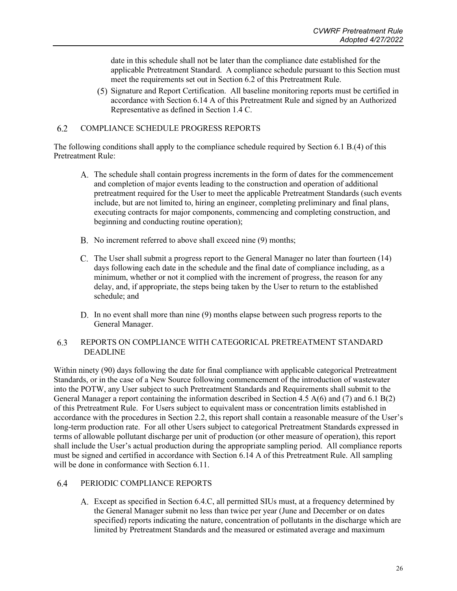date in this schedule shall not be later than the compliance date established for the applicable Pretreatment Standard. A compliance schedule pursuant to this Section must meet the requirements set out in Section 6.2 of this Pretreatment Rule.

Signature and Report Certification. All baseline monitoring reports must be certified in accordance with Section 6.14 A of this Pretreatment Rule and signed by an Authorized Representative as defined in Section 1.4 C.

#### <span id="page-29-0"></span> $6.2$ COMPLIANCE SCHEDULE PROGRESS REPORTS

The following conditions shall apply to the compliance schedule required by Section 6.1 B.(4) of this Pretreatment Rule:

- The schedule shall contain progress increments in the form of dates for the commencement and completion of major events leading to the construction and operation of additional pretreatment required for the User to meet the applicable Pretreatment Standards (such events include, but are not limited to, hiring an engineer, completing preliminary and final plans, executing contracts for major components, commencing and completing construction, and beginning and conducting routine operation);
- B. No increment referred to above shall exceed nine (9) months;
- C. The User shall submit a progress report to the General Manager no later than fourteen (14) days following each date in the schedule and the final date of compliance including, as a minimum, whether or not it complied with the increment of progress, the reason for any delay, and, if appropriate, the steps being taken by the User to return to the established schedule; and
- D. In no event shall more than nine (9) months elapse between such progress reports to the General Manager.

#### <span id="page-29-1"></span>6.3 REPORTS ON COMPLIANCE WITH CATEGORICAL PRETREATMENT STANDARD DEADLINE

Within ninety (90) days following the date for final compliance with applicable categorical Pretreatment Standards, or in the case of a New Source following commencement of the introduction of wastewater into the POTW, any User subject to such Pretreatment Standards and Requirements shall submit to the General Manager a report containing the information described in Section 4.5 A(6) and (7) and 6.1 B(2) of this Pretreatment Rule. For Users subject to equivalent mass or concentration limits established in accordance with the procedures in Section 2.2, this report shall contain a reasonable measure of the User's long-term production rate. For all other Users subject to categorical Pretreatment Standards expressed in terms of allowable pollutant discharge per unit of production (or other measure of operation), this report shall include the User's actual production during the appropriate sampling period. All compliance reports must be signed and certified in accordance with Section 6.14 A of this Pretreatment Rule. All sampling will be done in conformance with Section 6.11.

#### <span id="page-29-2"></span>64 PERIODIC COMPLIANCE REPORTS

Except as specified in Section 6.4.C, all permitted SIUs must, at a frequency determined by the General Manager submit no less than twice per year (June and December or on dates specified) reports indicating the nature, concentration of pollutants in the discharge which are limited by Pretreatment Standards and the measured or estimated average and maximum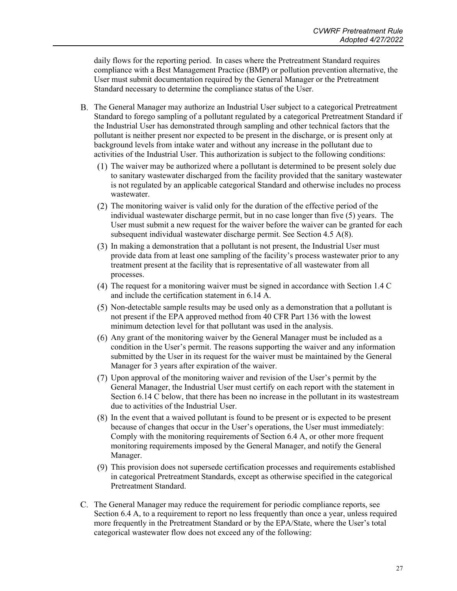daily flows for the reporting period. In cases where the Pretreatment Standard requires compliance with a Best Management Practice (BMP) or pollution prevention alternative, the User must submit documentation required by the General Manager or the Pretreatment Standard necessary to determine the compliance status of the User.

- The General Manager may authorize an Industrial User subject to a categorical Pretreatment Standard to forego sampling of a pollutant regulated by a categorical Pretreatment Standard if the Industrial User has demonstrated through sampling and other technical factors that the pollutant is neither present nor expected to be present in the discharge, or is present only at background levels from intake water and without any increase in the pollutant due to activities of the Industrial User. This authorization is subject to the following conditions:
	- $(1)$  The waiver may be authorized where a pollutant is determined to be present solely due to sanitary wastewater discharged from the facility provided that the sanitary wastewater is not regulated by an applicable categorical Standard and otherwise includes no process wastewater.
	- $(2)$  The monitoring waiver is valid only for the duration of the effective period of the individual wastewater discharge permit, but in no case longer than five (5) years. The User must submit a new request for the waiver before the waiver can be granted for each subsequent individual wastewater discharge permit. See Section 4.5 A(8).
	- In making a demonstration that a pollutant is not present, the Industrial User must provide data from at least one sampling of the facility's process wastewater prior to any treatment present at the facility that is representative of all wastewater from all processes.
	- $(4)$  The request for a monitoring waiver must be signed in accordance with Section 1.4 C and include the certification statement in 6.14 A.
	- Non-detectable sample results may be used only as a demonstration that a pollutant is not present if the EPA approved method from 40 CFR Part 136 with the lowest minimum detection level for that pollutant was used in the analysis.
	- Any grant of the monitoring waiver by the General Manager must be included as a condition in the User's permit. The reasons supporting the waiver and any information submitted by the User in its request for the waiver must be maintained by the General Manager for 3 years after expiration of the waiver.
	- Upon approval of the monitoring waiver and revision of the User's permit by the General Manager, the Industrial User must certify on each report with the statement in Section 6.14 C below, that there has been no increase in the pollutant in its wastestream due to activities of the Industrial User.
	- In the event that a waived pollutant is found to be present or is expected to be present because of changes that occur in the User's operations, the User must immediately: Comply with the monitoring requirements of Section 6.4 A, or other more frequent monitoring requirements imposed by the General Manager, and notify the General Manager.
	- This provision does not supersede certification processes and requirements established in categorical Pretreatment Standards, except as otherwise specified in the categorical Pretreatment Standard.
- The General Manager may reduce the requirement for periodic compliance reports, see Section 6.4 A, to a requirement to report no less frequently than once a year, unless required more frequently in the Pretreatment Standard or by the EPA/State, where the User's total categorical wastewater flow does not exceed any of the following: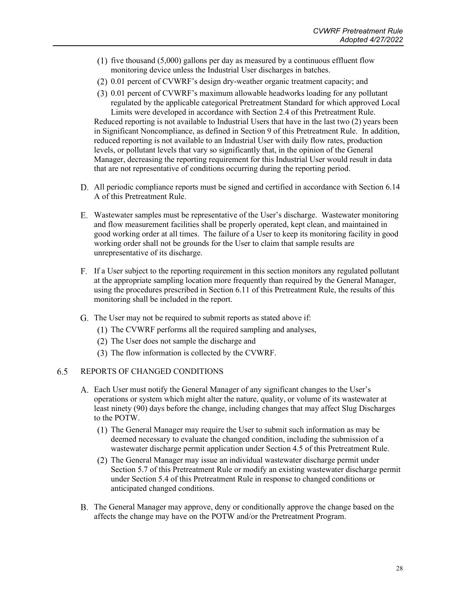- $f(1)$  five thousand  $(5,000)$  gallons per day as measured by a continuous effluent flow monitoring device unless the Industrial User discharges in batches.
- 0.01 percent of CVWRF's design dry-weather organic treatment capacity; and
- 0.01 percent of CVWRF's maximum allowable headworks loading for any pollutant regulated by the applicable categorical Pretreatment Standard for which approved Local Limits were developed in accordance with Section 2.4 of this Pretreatment Rule. Reduced reporting is not available to Industrial Users that have in the last two (2) years been

in Significant Noncompliance, as defined in Section 9 of this Pretreatment Rule. In addition, reduced reporting is not available to an Industrial User with daily flow rates, production levels, or pollutant levels that vary so significantly that, in the opinion of the General Manager, decreasing the reporting requirement for this Industrial User would result in data that are not representative of conditions occurring during the reporting period.

- All periodic compliance reports must be signed and certified in accordance with Section 6.14 A of this Pretreatment Rule.
- Wastewater samples must be representative of the User's discharge. Wastewater monitoring and flow measurement facilities shall be properly operated, kept clean, and maintained in good working order at all times. The failure of a User to keep its monitoring facility in good working order shall not be grounds for the User to claim that sample results are unrepresentative of its discharge.
- If a User subject to the reporting requirement in this section monitors any regulated pollutant at the appropriate sampling location more frequently than required by the General Manager, using the procedures prescribed in Section 6.11 of this Pretreatment Rule, the results of this monitoring shall be included in the report.
- G. The User may not be required to submit reports as stated above if:
	- $(1)$  The CVWRF performs all the required sampling and analyses,
	- (2) The User does not sample the discharge and
	- (3) The flow information is collected by the CVWRF.

#### <span id="page-31-0"></span>6.5 REPORTS OF CHANGED CONDITIONS

- Each User must notify the General Manager of any significant changes to the User's operations or system which might alter the nature, quality, or volume of its wastewater at least ninety (90) days before the change, including changes that may affect Slug Discharges to the POTW.
	- $(1)$  The General Manager may require the User to submit such information as may be deemed necessary to evaluate the changed condition, including the submission of a wastewater discharge permit application under Section 4.5 of this Pretreatment Rule.
	- The General Manager may issue an individual wastewater discharge permit under Section 5.7 of this Pretreatment Rule or modify an existing wastewater discharge permit under Section 5.4 of this Pretreatment Rule in response to changed conditions or anticipated changed conditions.
- The General Manager may approve, deny or conditionally approve the change based on the affects the change may have on the POTW and/or the Pretreatment Program.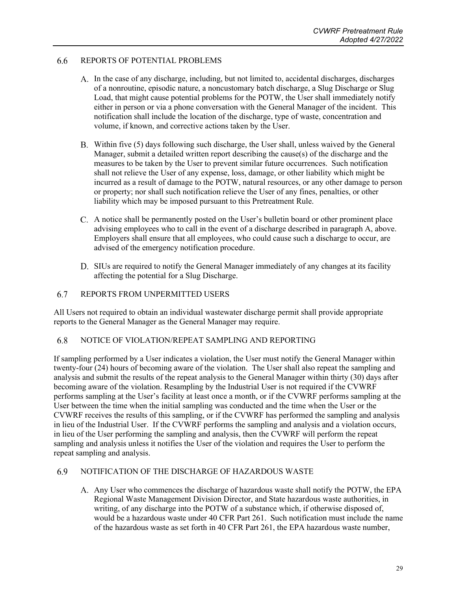#### <span id="page-32-0"></span>6.6 REPORTS OF POTENTIAL PROBLEMS

- In the case of any discharge, including, but not limited to, accidental discharges, discharges of a nonroutine, episodic nature, a noncustomary batch discharge, a Slug Discharge or Slug Load, that might cause potential problems for the POTW, the User shall immediately notify either in person or via a phone conversation with the General Manager of the incident. This notification shall include the location of the discharge, type of waste, concentration and volume, if known, and corrective actions taken by the User.
- B. Within five (5) days following such discharge, the User shall, unless waived by the General Manager, submit a detailed written report describing the cause(s) of the discharge and the measures to be taken by the User to prevent similar future occurrences. Such notification shall not relieve the User of any expense, loss, damage, or other liability which might be incurred as a result of damage to the POTW, natural resources, or any other damage to person or property; nor shall such notification relieve the User of any fines, penalties, or other liability which may be imposed pursuant to this Pretreatment Rule.
- A notice shall be permanently posted on the User's bulletin board or other prominent place advising employees who to call in the event of a discharge described in paragraph A, above. Employers shall ensure that all employees, who could cause such a discharge to occur, are advised of the emergency notification procedure.
- D. SIUs are required to notify the General Manager immediately of any changes at its facility affecting the potential for a Slug Discharge.

#### <span id="page-32-1"></span>6.7 REPORTS FROM UNPERMITTED USERS

All Users not required to obtain an individual wastewater discharge permit shall provide appropriate reports to the General Manager as the General Manager may require.

#### <span id="page-32-2"></span>6.8 NOTICE OF VIOLATION/REPEAT SAMPLING AND REPORTING

If sampling performed by a User indicates a violation, the User must notify the General Manager within twenty-four (24) hours of becoming aware of the violation. The User shall also repeat the sampling and analysis and submit the results of the repeat analysis to the General Manager within thirty (30) days after becoming aware of the violation. Resampling by the Industrial User is not required if the CVWRF performs sampling at the User's facility at least once a month, or if the CVWRF performs sampling at the User between the time when the initial sampling was conducted and the time when the User or the CVWRF receives the results of this sampling, or if the CVWRF has performed the sampling and analysis in lieu of the Industrial User. If the CVWRF performs the sampling and analysis and a violation occurs, in lieu of the User performing the sampling and analysis, then the CVWRF will perform the repeat sampling and analysis unless it notifies the User of the violation and requires the User to perform the repeat sampling and analysis.

#### <span id="page-32-3"></span>NOTIFICATION OF THE DISCHARGE OF HAZARDOUS WASTE 6.9

A. Any User who commences the discharge of hazardous waste shall notify the POTW, the EPA Regional Waste Management Division Director, and State hazardous waste authorities, in writing, of any discharge into the POTW of a substance which, if otherwise disposed of, would be a hazardous waste under 40 CFR Part 261. Such notification must include the name of the hazardous waste as set forth in 40 CFR Part 261, the EPA hazardous waste number,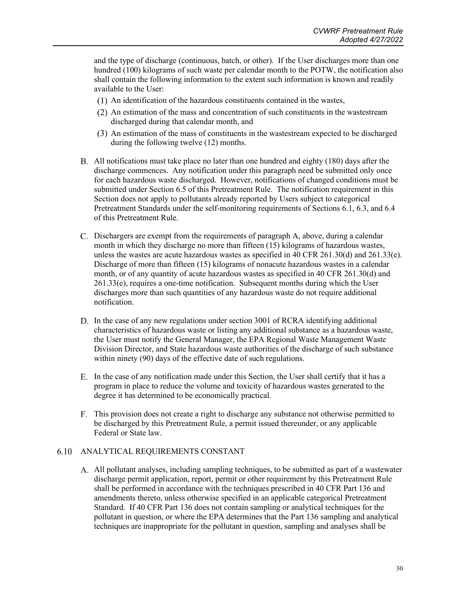and the type of discharge (continuous, batch, or other). If the User discharges more than one hundred (100) kilograms of such waste per calendar month to the POTW, the notification also shall contain the following information to the extent such information is known and readily available to the User:

- $(1)$  An identification of the hazardous constituents contained in the wastes,
- An estimation of the mass and concentration of such constituents in the wastestream discharged during that calendar month, and
- An estimation of the mass of constituents in the wastestream expected to be discharged during the following twelve (12) months.
- All notifications must take place no later than one hundred and eighty (180) days after the discharge commences. Any notification under this paragraph need be submitted only once for each hazardous waste discharged. However, notifications of changed conditions must be submitted under Section 6.5 of this Pretreatment Rule. The notification requirement in this Section does not apply to pollutants already reported by Users subject to categorical Pretreatment Standards under the self-monitoring requirements of Sections 6.1, 6.3, and 6.4 of this Pretreatment Rule.
- Dischargers are exempt from the requirements of paragraph A, above, during a calendar month in which they discharge no more than fifteen (15) kilograms of hazardous wastes, unless the wastes are acute hazardous wastes as specified in 40 CFR 261.30(d) and 261.33(e). Discharge of more than fifteen (15) kilograms of nonacute hazardous wastes in a calendar month, or of any quantity of acute hazardous wastes as specified in 40 CFR 261.30(d) and 261.33(e), requires a one-time notification. Subsequent months during which the User discharges more than such quantities of any hazardous waste do not require additional notification.
- D. In the case of any new regulations under section 3001 of RCRA identifying additional characteristics of hazardous waste or listing any additional substance as a hazardous waste, the User must notify the General Manager, the EPA Regional Waste Management Waste Division Director, and State hazardous waste authorities of the discharge of such substance within ninety (90) days of the effective date of such regulations.
- In the case of any notification made under this Section, the User shall certify that it has a program in place to reduce the volume and toxicity of hazardous wastes generated to the degree it has determined to be economically practical.
- This provision does not create a right to discharge any substance not otherwise permitted to be discharged by this Pretreatment Rule, a permit issued thereunder, or any applicable Federal or State law.

### <span id="page-33-0"></span>ANALYTICAL REQUIREMENTS CONSTANT

All pollutant analyses, including sampling techniques, to be submitted as part of a wastewater discharge permit application, report, permit or other requirement by this Pretreatment Rule shall be performed in accordance with the techniques prescribed in 40 CFR Part 136 and amendments thereto, unless otherwise specified in an applicable categorical Pretreatment Standard. If 40 CFR Part 136 does not contain sampling or analytical techniques for the pollutant in question, or where the EPA determines that the Part 136 sampling and analytical techniques are inappropriate for the pollutant in question, sampling and analyses shall be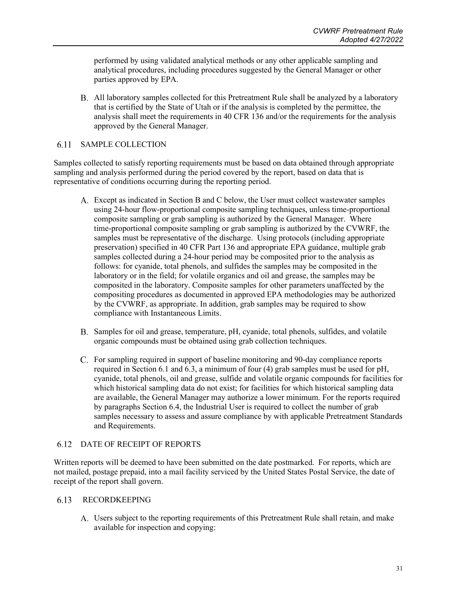performed by using validated analytical methods or any other applicable sampling and analytical procedures, including procedures suggested by the General Manager or other parties approved by EPA.

All laboratory samples collected for this Pretreatment Rule shall be analyzed by a laboratory that is certified by the State of Utah or if the analysis is completed by the permittee, the analysis shall meet the requirements in 40 CFR 136 and/or the requirements for the analysis approved by the General Manager.

#### <span id="page-34-0"></span>6.11 SAMPLE COLLECTION

Samples collected to satisfy reporting requirements must be based on data obtained through appropriate sampling and analysis performed during the period covered by the report, based on data that is representative of conditions occurring during the reporting period.

- Except as indicated in Section B and C below, the User must collect wastewater samples using 24-hour flow-proportional composite sampling techniques, unless time-proportional composite sampling or grab sampling is authorized by the General Manager. Where time-proportional composite sampling or grab sampling is authorized by the CVWRF, the samples must be representative of the discharge. Using protocols (including appropriate preservation) specified in 40 CFR Part 136 and appropriate EPA guidance, multiple grab samples collected during a 24-hour period may be composited prior to the analysis as follows: for cyanide, total phenols, and sulfides the samples may be composited in the laboratory or in the field; for volatile organics and oil and grease, the samples may be composited in the laboratory. Composite samples for other parameters unaffected by the compositing procedures as documented in approved EPA methodologies may be authorized by the CVWRF, as appropriate. In addition, grab samples may be required to show compliance with Instantaneous Limits.
- Samples for oil and grease, temperature, pH, cyanide, total phenols, sulfides, and volatile organic compounds must be obtained using grab collection techniques.
- For sampling required in support of baseline monitoring and 90-day compliance reports required in Section 6.1 and 6.3, a minimum of four (4) grab samples must be used for pH, cyanide, total phenols, oil and grease, sulfide and volatile organic compounds for facilities for which historical sampling data do not exist; for facilities for which historical sampling data are available, the General Manager may authorize a lower minimum. For the reports required by paragraphs Section 6.4, the Industrial User is required to collect the number of grab samples necessary to assess and assure compliance by with applicable Pretreatment Standards and Requirements.

#### <span id="page-34-1"></span>DATE OF RECEIPT OF REPORTS 6.12

Written reports will be deemed to have been submitted on the date postmarked. For reports, which are not mailed, postage prepaid, into a mail facility serviced by the United States Postal Service, the date of receipt of the report shall govern.

### <span id="page-34-2"></span>6.13 RECORDKEEPING

Users subject to the reporting requirements of this Pretreatment Rule shall retain, and make available for inspection and copying: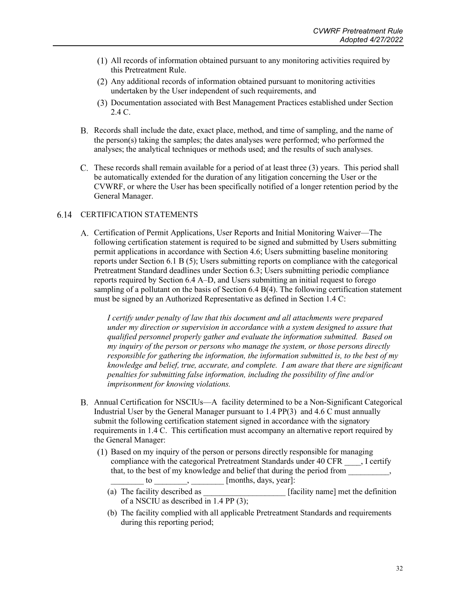- All records of information obtained pursuant to any monitoring activities required by this Pretreatment Rule.
- Any additional records of information obtained pursuant to monitoring activities undertaken by the User independent of such requirements, and
- Documentation associated with Best Management Practices established under Section 2.4 C.
- Records shall include the date, exact place, method, and time of sampling, and the name of the person(s) taking the samples; the dates analyses were performed; who performed the analyses; the analytical techniques or methods used; and the results of such analyses.
- These records shall remain available for a period of at least three (3) years. This period shall be automatically extended for the duration of any litigation concerning the User or the CVWRF, or where the User has been specifically notified of a longer retention period by the General Manager.

### <span id="page-35-0"></span>6.14 CERTIFICATION STATEMENTS

Certification of Permit Applications, User Reports and Initial Monitoring Waiver—The following certification statement is required to be signed and submitted by Users submitting permit applications in accordance with Section 4.6; Users submitting baseline monitoring reports under Section 6.1 B (5); Users submitting reports on compliance with the categorical Pretreatment Standard deadlines under Section 6.3; Users submitting periodic compliance reports required by Section 6.4 A–D, and Users submitting an initial request to forego sampling of a pollutant on the basis of Section 6.4 B(4). The following certification statement must be signed by an Authorized Representative as defined in Section 1.4 C:

*I certify under penalty of law that this document and all attachments were prepared under my direction or supervision in accordance with a system designed to assure that qualified personnel properly gather and evaluate the information submitted. Based on my inquiry of the person or persons who manage the system, or those persons directly responsible for gathering the information, the information submitted is, to the best of my knowledge and belief, true, accurate, and complete. I am aware that there are significant penalties for submitting false information, including the possibility of fine and/or imprisonment for knowing violations.*

- Annual Certification for NSCIUs—A facility determined to be a Non-Significant Categorical Industrial User by the General Manager pursuant to 1.4 PP(3) and 4.6 C must annually submit the following certification statement signed in accordance with the signatory requirements in 1.4 C. This certification must accompany an alternative report required by the General Manager:
	- Based on my inquiry of the person or persons directly responsible for managing compliance with the categorical Pretreatment Standards under 40 CFR \_\_\_\_, I certify that, to the best of my knowledge and belief that during the period from \_\_\_\_\_\_\_\_\_\_,  $\alpha$  to \_\_\_\_\_\_\_\_, \_\_\_\_\_\_\_\_ [months, days, year]:
		- (a) The facility described as  $[**facility name**]$  met the definition of a NSCIU as described in 1.4 PP (3);
		- (b) The facility complied with all applicable Pretreatment Standards and requirements during this reporting period;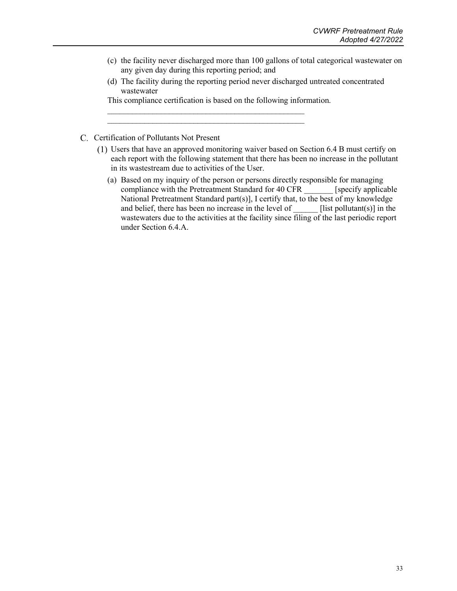- (c) the facility never discharged more than 100 gallons of total categorical wastewater on any given day during this reporting period; and
- (d) The facility during the reporting period never discharged untreated concentrated wastewater

This compliance certification is based on the following information.

 $\mathcal{L}_\text{max}$  , and the contract of the contract of the contract of the contract of the contract of the contract of the contract of the contract of the contract of the contract of the contract of the contract of the contr  $\mathcal{L}_\text{max}$  , and the contract of the contract of the contract of the contract of the contract of the contract of the contract of the contract of the contract of the contract of the contract of the contract of the contr

- C. Certification of Pollutants Not Present
	- Users that have an approved monitoring waiver based on Section 6.4 B must certify on each report with the following statement that there has been no increase in the pollutant in its wastestream due to activities of the User.
		- (a) Based on my inquiry of the person or persons directly responsible for managing compliance with the Pretreatment Standard for 40 CFR \_\_\_\_\_\_\_ [specify applicable National Pretreatment Standard part(s)], I certify that, to the best of my knowledge and belief, there has been no increase in the level of \_\_\_\_\_\_ [list pollutant(s)] in the wastewaters due to the activities at the facility since filing of the last periodic report under Section 6.4.A.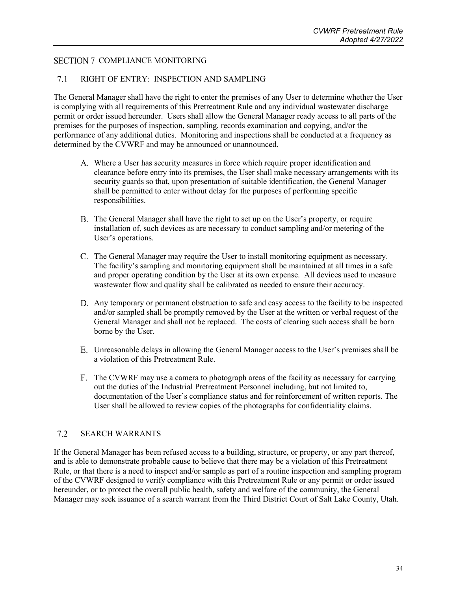### <span id="page-37-1"></span><span id="page-37-0"></span>SECTION 7 COMPLIANCE MONITORING

#### RIGHT OF ENTRY: INSPECTION AND SAMPLING  $7.1$

The General Manager shall have the right to enter the premises of any User to determine whether the User is complying with all requirements of this Pretreatment Rule and any individual wastewater discharge permit or order issued hereunder. Users shall allow the General Manager ready access to all parts of the premises for the purposes of inspection, sampling, records examination and copying, and/or the performance of any additional duties. Monitoring and inspections shall be conducted at a frequency as determined by the CVWRF and may be announced or unannounced.

- Where a User has security measures in force which require proper identification and clearance before entry into its premises, the User shall make necessary arrangements with its security guards so that, upon presentation of suitable identification, the General Manager shall be permitted to enter without delay for the purposes of performing specific responsibilities.
- The General Manager shall have the right to set up on the User's property, or require installation of, such devices as are necessary to conduct sampling and/or metering of the User's operations.
- The General Manager may require the User to install monitoring equipment as necessary. The facility's sampling and monitoring equipment shall be maintained at all times in a safe and proper operating condition by the User at its own expense. All devices used to measure wastewater flow and quality shall be calibrated as needed to ensure their accuracy.
- Any temporary or permanent obstruction to safe and easy access to the facility to be inspected and/or sampled shall be promptly removed by the User at the written or verbal request of the General Manager and shall not be replaced. The costs of clearing such access shall be born borne by the User.
- Unreasonable delays in allowing the General Manager access to the User's premises shall be a violation of this Pretreatment Rule.
- The CVWRF may use a camera to photograph areas of the facility as necessary for carrying out the duties of the Industrial Pretreatment Personnel including, but not limited to, documentation of the User's compliance status and for reinforcement of written reports. The User shall be allowed to review copies of the photographs for confidentiality claims.

#### <span id="page-37-2"></span> $7.2$ SEARCH WARRANTS

If the General Manager has been refused access to a building, structure, or property, or any part thereof, and is able to demonstrate probable cause to believe that there may be a violation of this Pretreatment Rule, or that there is a need to inspect and/or sample as part of a routine inspection and sampling program of the CVWRF designed to verify compliance with this Pretreatment Rule or any permit or order issued hereunder, or to protect the overall public health, safety and welfare of the community, the General Manager may seek issuance of a search warrant from the Third District Court of Salt Lake County, Utah.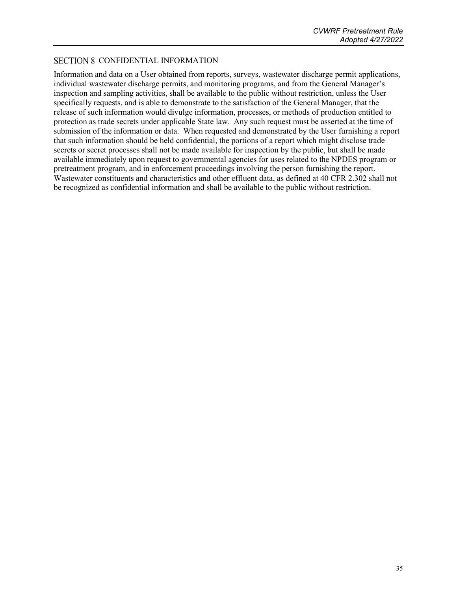### <span id="page-38-0"></span>SECTION 8 CONFIDENTIAL INFORMATION

Information and data on a User obtained from reports, surveys, wastewater discharge permit applications, individual wastewater discharge permits, and monitoring programs, and from the General Manager's inspection and sampling activities, shall be available to the public without restriction, unless the User specifically requests, and is able to demonstrate to the satisfaction of the General Manager, that the release of such information would divulge information, processes, or methods of production entitled to protection as trade secrets under applicable State law. Any such request must be asserted at the time of submission of the information or data. When requested and demonstrated by the User furnishing a report that such information should be held confidential, the portions of a report which might disclose trade secrets or secret processes shall not be made available for inspection by the public, but shall be made available immediately upon request to governmental agencies for uses related to the NPDES program or pretreatment program, and in enforcement proceedings involving the person furnishing the report. Wastewater constituents and characteristics and other effluent data, as defined at 40 CFR 2.302 shall not be recognized as confidential information and shall be available to the public without restriction.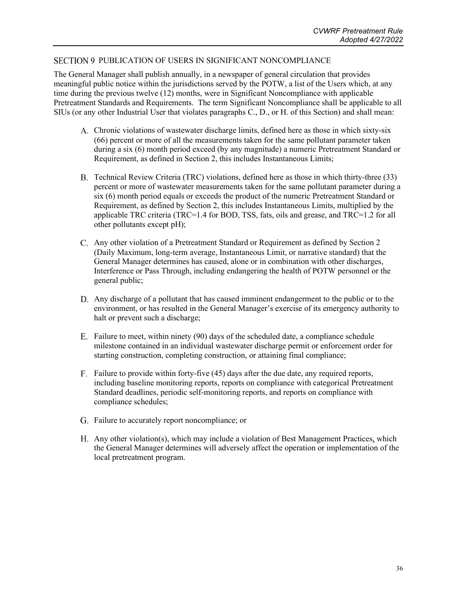### <span id="page-39-0"></span>SECTION 9 PUBLICATION OF USERS IN SIGNIFICANT NONCOMPLIANCE

The General Manager shall publish annually, in a newspaper of general circulation that provides meaningful public notice within the jurisdictions served by the POTW, a list of the Users which, at any time during the previous twelve (12) months, were in Significant Noncompliance with applicable Pretreatment Standards and Requirements. The term Significant Noncompliance shall be applicable to all SIUs (or any other Industrial User that violates paragraphs C., D., or H. of this Section) and shall mean:

- Chronic violations of wastewater discharge limits, defined here as those in which sixty-six (66) percent or more of all the measurements taken for the same pollutant parameter taken during a six (6) month period exceed (by any magnitude) a numeric Pretreatment Standard or Requirement, as defined in Section 2, this includes Instantaneous Limits;
- Technical Review Criteria (TRC) violations, defined here as those in which thirty-three (33) percent or more of wastewater measurements taken for the same pollutant parameter during a six (6) month period equals or exceeds the product of the numeric Pretreatment Standard or Requirement, as defined by Section 2, this includes Instantaneous Limits, multiplied by the applicable TRC criteria (TRC=1.4 for BOD, TSS, fats, oils and grease, and TRC=1.2 for all other pollutants except pH);
- Any other violation of a Pretreatment Standard or Requirement as defined by Section 2 (Daily Maximum, long-term average, Instantaneous Limit, or narrative standard) that the General Manager determines has caused, alone or in combination with other discharges, Interference or Pass Through, including endangering the health of POTW personnel or the general public;
- Any discharge of a pollutant that has caused imminent endangerment to the public or to the environment, or has resulted in the General Manager's exercise of its emergency authority to halt or prevent such a discharge;
- Failure to meet, within ninety (90) days of the scheduled date, a compliance schedule milestone contained in an individual wastewater discharge permit or enforcement order for starting construction, completing construction, or attaining final compliance;
- F. Failure to provide within forty-five (45) days after the due date, any required reports, including baseline monitoring reports, reports on compliance with categorical Pretreatment Standard deadlines, periodic self-monitoring reports, and reports on compliance with compliance schedules;
- Failure to accurately report noncompliance; or
- Any other violation(s), which may include a violation of Best Management Practices, which the General Manager determines will adversely affect the operation or implementation of the local pretreatment program.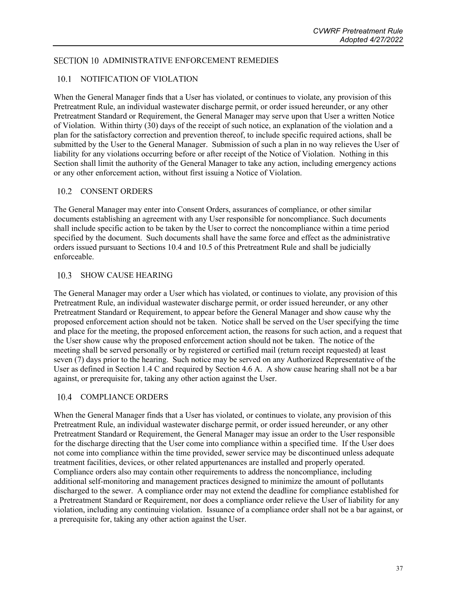### <span id="page-40-1"></span><span id="page-40-0"></span>SECTION 10 ADMINISTRATIVE ENFORCEMENT REMEDIES

### 10.1 NOTIFICATION OF VIOLATION

When the General Manager finds that a User has violated, or continues to violate, any provision of this Pretreatment Rule, an individual wastewater discharge permit, or order issued hereunder, or any other Pretreatment Standard or Requirement, the General Manager may serve upon that User a written Notice of Violation. Within thirty (30) days of the receipt of such notice, an explanation of the violation and a plan for the satisfactory correction and prevention thereof, to include specific required actions, shall be submitted by the User to the General Manager. Submission of such a plan in no way relieves the User of liability for any violations occurring before or after receipt of the Notice of Violation. Nothing in this Section shall limit the authority of the General Manager to take any action, including emergency actions or any other enforcement action, without first issuing a Notice of Violation.

### <span id="page-40-2"></span>10.2 CONSENT ORDERS

The General Manager may enter into Consent Orders, assurances of compliance, or other similar documents establishing an agreement with any User responsible for noncompliance. Such documents shall include specific action to be taken by the User to correct the noncompliance within a time period specified by the document. Such documents shall have the same force and effect as the administrative orders issued pursuant to Sections 10.4 and 10.5 of this Pretreatment Rule and shall be judicially enforceable.

### <span id="page-40-3"></span>10.3 SHOW CAUSE HEARING

The General Manager may order a User which has violated, or continues to violate, any provision of this Pretreatment Rule, an individual wastewater discharge permit, or order issued hereunder, or any other Pretreatment Standard or Requirement, to appear before the General Manager and show cause why the proposed enforcement action should not be taken. Notice shall be served on the User specifying the time and place for the meeting, the proposed enforcement action, the reasons for such action, and a request that the User show cause why the proposed enforcement action should not be taken. The notice of the meeting shall be served personally or by registered or certified mail (return receipt requested) at least seven (7) days prior to the hearing. Such notice may be served on any Authorized Representative of the User as defined in Section 1.4 C and required by Section 4.6 A. A show cause hearing shall not be a bar against, or prerequisite for, taking any other action against the User.

### <span id="page-40-4"></span>10.4 COMPLIANCE ORDERS

When the General Manager finds that a User has violated, or continues to violate, any provision of this Pretreatment Rule, an individual wastewater discharge permit, or order issued hereunder, or any other Pretreatment Standard or Requirement, the General Manager may issue an order to the User responsible for the discharge directing that the User come into compliance within a specified time. If the User does not come into compliance within the time provided, sewer service may be discontinued unless adequate treatment facilities, devices, or other related appurtenances are installed and properly operated. Compliance orders also may contain other requirements to address the noncompliance, including additional self-monitoring and management practices designed to minimize the amount of pollutants discharged to the sewer. A compliance order may not extend the deadline for compliance established for a Pretreatment Standard or Requirement, nor does a compliance order relieve the User of liability for any violation, including any continuing violation. Issuance of a compliance order shall not be a bar against, or a prerequisite for, taking any other action against the User.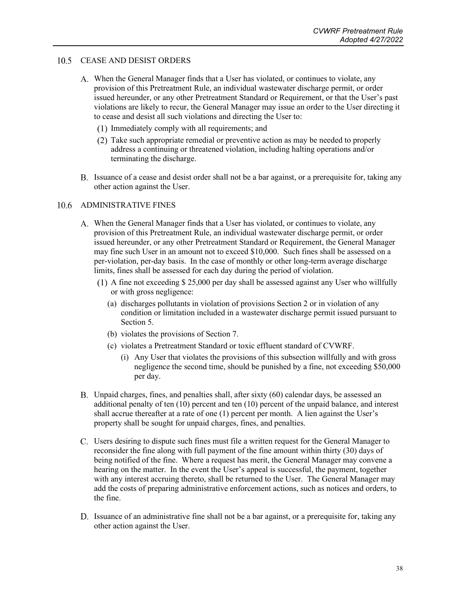### <span id="page-41-0"></span>10.5 CEASE AND DESIST ORDERS

- A. When the General Manager finds that a User has violated, or continues to violate, any provision of this Pretreatment Rule, an individual wastewater discharge permit, or order issued hereunder, or any other Pretreatment Standard or Requirement, or that the User's past violations are likely to recur, the General Manager may issue an order to the User directing it to cease and desist all such violations and directing the User to:
	- Immediately comply with all requirements; and
	- Take such appropriate remedial or preventive action as may be needed to properly address a continuing or threatened violation, including halting operations and/or terminating the discharge.
- Issuance of a cease and desist order shall not be a bar against, or a prerequisite for, taking any other action against the User.

### <span id="page-41-1"></span>10.6 ADMINISTRATIVE FINES

- A. When the General Manager finds that a User has violated, or continues to violate, any provision of this Pretreatment Rule, an individual wastewater discharge permit, or order issued hereunder, or any other Pretreatment Standard or Requirement, the General Manager may fine such User in an amount not to exceed \$10,000. Such fines shall be assessed on a per-violation, per-day basis. In the case of monthly or other long-term average discharge limits, fines shall be assessed for each day during the period of violation.
	- $(1)$  A fine not exceeding \$ 25,000 per day shall be assessed against any User who willfully or with gross negligence:
		- (a) discharges pollutants in violation of provisions Section 2 or in violation of any condition or limitation included in a wastewater discharge permit issued pursuant to Section 5.
		- (b) violates the provisions of Section 7.
		- (c) violates a Pretreatment Standard or toxic effluent standard of CVWRF.
			- (i) Any User that violates the provisions of this subsection willfully and with gross negligence the second time, should be punished by a fine, not exceeding \$50,000 per day.
- Unpaid charges, fines, and penalties shall, after sixty (60) calendar days, be assessed an additional penalty of ten (10) percent and ten (10) percent of the unpaid balance, and interest shall accrue thereafter at a rate of one (1) percent per month. A lien against the User's property shall be sought for unpaid charges, fines, and penalties.
- Users desiring to dispute such fines must file a written request for the General Manager to reconsider the fine along with full payment of the fine amount within thirty (30) days of being notified of the fine. Where a request has merit, the General Manager may convene a hearing on the matter. In the event the User's appeal is successful, the payment, together with any interest accruing thereto, shall be returned to the User. The General Manager may add the costs of preparing administrative enforcement actions, such as notices and orders, to the fine.
- D. Issuance of an administrative fine shall not be a bar against, or a prerequisite for, taking any other action against the User.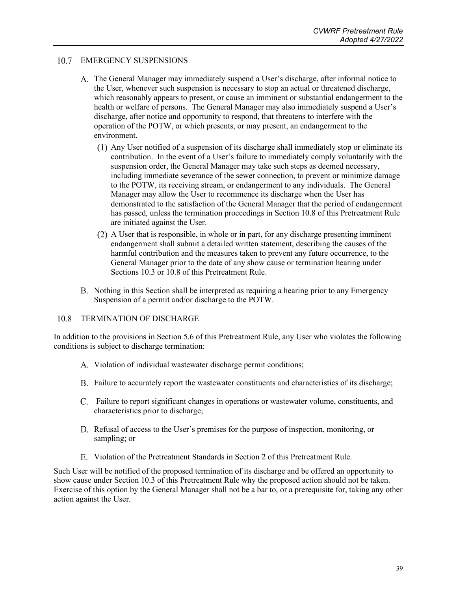### <span id="page-42-0"></span>10.7 EMERGENCY SUSPENSIONS

- The General Manager may immediately suspend a User's discharge, after informal notice to the User, whenever such suspension is necessary to stop an actual or threatened discharge, which reasonably appears to present, or cause an imminent or substantial endangerment to the health or welfare of persons. The General Manager may also immediately suspend a User's discharge, after notice and opportunity to respond, that threatens to interfere with the operation of the POTW, or which presents, or may present, an endangerment to the environment.
	- $(1)$  Any User notified of a suspension of its discharge shall immediately stop or eliminate its contribution. In the event of a User's failure to immediately comply voluntarily with the suspension order, the General Manager may take such steps as deemed necessary, including immediate severance of the sewer connection, to prevent or minimize damage to the POTW, its receiving stream, or endangerment to any individuals. The General Manager may allow the User to recommence its discharge when the User has demonstrated to the satisfaction of the General Manager that the period of endangerment has passed, unless the termination proceedings in Section 10.8 of this Pretreatment Rule are initiated against the User.
	- A User that is responsible, in whole or in part, for any discharge presenting imminent endangerment shall submit a detailed written statement, describing the causes of the harmful contribution and the measures taken to prevent any future occurrence, to the General Manager prior to the date of any show cause or termination hearing under Sections 10.3 or 10.8 of this Pretreatment Rule.
- Nothing in this Section shall be interpreted as requiring a hearing prior to any Emergency Suspension of a permit and/or discharge to the POTW.

#### <span id="page-42-1"></span>10.8 TERMINATION OF DISCHARGE

In addition to the provisions in Section 5.6 of this Pretreatment Rule, any User who violates the following conditions is subject to discharge termination:

- A. Violation of individual wastewater discharge permit conditions;
- Failure to accurately report the wastewater constituents and characteristics of its discharge;
- Failure to report significant changes in operations or wastewater volume, constituents, and characteristics prior to discharge;
- D. Refusal of access to the User's premises for the purpose of inspection, monitoring, or sampling; or
- Violation of the Pretreatment Standards in Section 2 of this Pretreatment Rule.

Such User will be notified of the proposed termination of its discharge and be offered an opportunity to show cause under Section 10.3 of this Pretreatment Rule why the proposed action should not be taken. Exercise of this option by the General Manager shall not be a bar to, or a prerequisite for, taking any other action against the User.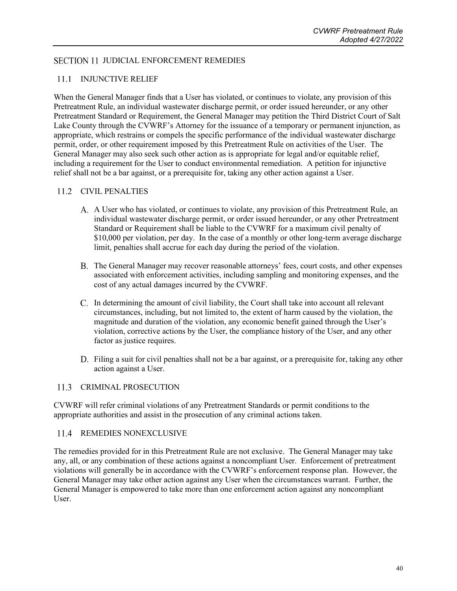### <span id="page-43-1"></span><span id="page-43-0"></span>SECTION 11 JUDICIAL ENFORCEMENT REMEDIES

### 11.1 INJUNCTIVE RELIEF

When the General Manager finds that a User has violated, or continues to violate, any provision of this Pretreatment Rule, an individual wastewater discharge permit, or order issued hereunder, or any other Pretreatment Standard or Requirement, the General Manager may petition the Third District Court of Salt Lake County through the CVWRF's Attorney for the issuance of a temporary or permanent injunction, as appropriate, which restrains or compels the specific performance of the individual wastewater discharge permit, order, or other requirement imposed by this Pretreatment Rule on activities of the User. The General Manager may also seek such other action as is appropriate for legal and/or equitable relief, including a requirement for the User to conduct environmental remediation. A petition for injunctive relief shall not be a bar against, or a prerequisite for, taking any other action against a User.

### <span id="page-43-2"></span>11.2 CIVIL PENALTIES

- A User who has violated, or continues to violate, any provision of this Pretreatment Rule, an individual wastewater discharge permit, or order issued hereunder, or any other Pretreatment Standard or Requirement shall be liable to the CVWRF for a maximum civil penalty of \$10,000 per violation, per day. In the case of a monthly or other long-term average discharge limit, penalties shall accrue for each day during the period of the violation.
- The General Manager may recover reasonable attorneys' fees, court costs, and other expenses associated with enforcement activities, including sampling and monitoring expenses, and the cost of any actual damages incurred by the CVWRF.
- In determining the amount of civil liability, the Court shall take into account all relevant circumstances, including, but not limited to, the extent of harm caused by the violation, the magnitude and duration of the violation, any economic benefit gained through the User's violation, corrective actions by the User, the compliance history of the User, and any other factor as justice requires.
- Filing a suit for civil penalties shall not be a bar against, or a prerequisite for, taking any other action against a User.

### <span id="page-43-3"></span>11.3 CRIMINAL PROSECUTION

CVWRF will refer criminal violations of any Pretreatment Standards or permit conditions to the appropriate authorities and assist in the prosecution of any criminal actions taken.

### <span id="page-43-4"></span>11.4 REMEDIES NONEXCLUSIVE

The remedies provided for in this Pretreatment Rule are not exclusive. The General Manager may take any, all, or any combination of these actions against a noncompliant User. Enforcement of pretreatment violations will generally be in accordance with the CVWRF's enforcement response plan. However, the General Manager may take other action against any User when the circumstances warrant. Further, the General Manager is empowered to take more than one enforcement action against any noncompliant User.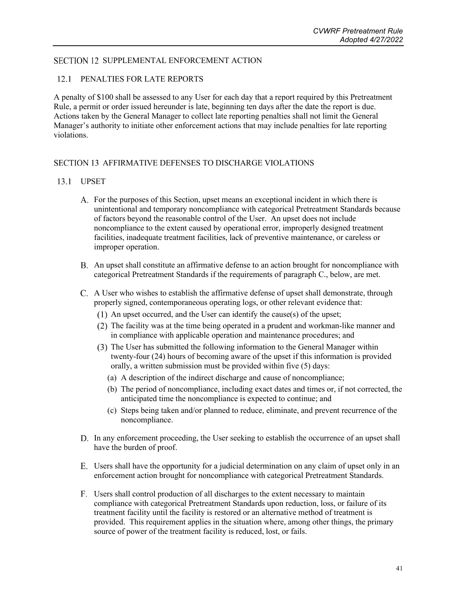### <span id="page-44-1"></span><span id="page-44-0"></span>SECTION 12 SUPPLEMENTAL ENFORCEMENT ACTION

### 12.1 PENALTIES FOR LATE REPORTS

A penalty of \$100 shall be assessed to any User for each day that a report required by this Pretreatment Rule, a permit or order issued hereunder is late, beginning ten days after the date the report is due. Actions taken by the General Manager to collect late reporting penalties shall not limit the General Manager's authority to initiate other enforcement actions that may include penalties for late reporting violations.

### <span id="page-44-3"></span><span id="page-44-2"></span>SECTION 13 AFFIRMATIVE DEFENSES TO DISCHARGE VIOLATIONS

### 13.1 UPSET

- For the purposes of this Section, upset means an exceptional incident in which there is unintentional and temporary noncompliance with categorical Pretreatment Standards because of factors beyond the reasonable control of the User. An upset does not include noncompliance to the extent caused by operational error, improperly designed treatment facilities, inadequate treatment facilities, lack of preventive maintenance, or careless or improper operation.
- An upset shall constitute an affirmative defense to an action brought for noncompliance with categorical Pretreatment Standards if the requirements of paragraph C., below, are met.
- A User who wishes to establish the affirmative defense of upset shall demonstrate, through properly signed, contemporaneous operating logs, or other relevant evidence that:
	- $(1)$  An upset occurred, and the User can identify the cause(s) of the upset;
	- (2) The facility was at the time being operated in a prudent and workman-like manner and in compliance with applicable operation and maintenance procedures; and
	- The User has submitted the following information to the General Manager within twenty-four (24) hours of becoming aware of the upset if this information is provided orally, a written submission must be provided within five (5) days:
		- (a) A description of the indirect discharge and cause of noncompliance;
		- (b) The period of noncompliance, including exact dates and times or, if not corrected, the anticipated time the noncompliance is expected to continue; and
		- (c) Steps being taken and/or planned to reduce, eliminate, and prevent recurrence of the noncompliance.
- D. In any enforcement proceeding, the User seeking to establish the occurrence of an upset shall have the burden of proof.
- Users shall have the opportunity for a judicial determination on any claim of upset only in an enforcement action brought for noncompliance with categorical Pretreatment Standards.
- Users shall control production of all discharges to the extent necessary to maintain compliance with categorical Pretreatment Standards upon reduction, loss, or failure of its treatment facility until the facility is restored or an alternative method of treatment is provided. This requirement applies in the situation where, among other things, the primary source of power of the treatment facility is reduced, lost, or fails.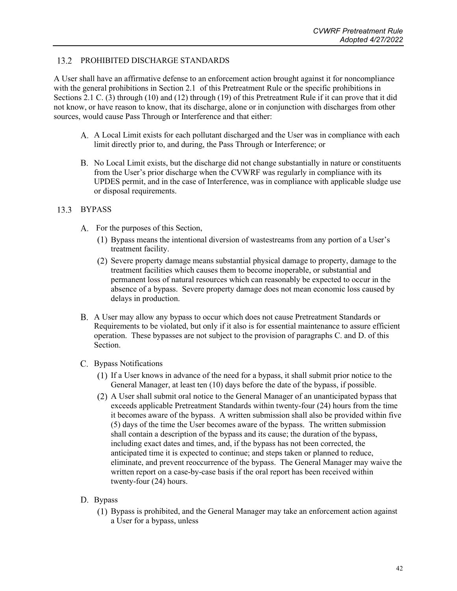#### <span id="page-45-0"></span>13.2 PROHIBITED DISCHARGE STANDARDS

A User shall have an affirmative defense to an enforcement action brought against it for noncompliance with the general prohibitions in Section 2.1 of this Pretreatment Rule or the specific prohibitions in Sections 2.1 C. (3) through (10) and (12) through (19) of this Pretreatment Rule if it can prove that it did not know, or have reason to know, that its discharge, alone or in conjunction with discharges from other sources, would cause Pass Through or Interference and that either:

- A Local Limit exists for each pollutant discharged and the User was in compliance with each limit directly prior to, and during, the Pass Through or Interference; or
- No Local Limit exists, but the discharge did not change substantially in nature or constituents from the User's prior discharge when the CVWRF was regularly in compliance with its UPDES permit, and in the case of Interference, was in compliance with applicable sludge use or disposal requirements.

### <span id="page-45-1"></span>13.3 BYPASS

- A. For the purposes of this Section,
	- Bypass means the intentional diversion of wastestreams from any portion of a User's treatment facility.
	- (2) Severe property damage means substantial physical damage to property, damage to the treatment facilities which causes them to become inoperable, or substantial and permanent loss of natural resources which can reasonably be expected to occur in the absence of a bypass. Severe property damage does not mean economic loss caused by delays in production.
- A User may allow any bypass to occur which does not cause Pretreatment Standards or Requirements to be violated, but only if it also is for essential maintenance to assure efficient operation. These bypasses are not subject to the provision of paragraphs C. and D. of this Section.
- C. Bypass Notifications
	- If a User knows in advance of the need for a bypass, it shall submit prior notice to the General Manager, at least ten (10) days before the date of the bypass, if possible.
	- A User shall submit oral notice to the General Manager of an unanticipated bypass that exceeds applicable Pretreatment Standards within twenty-four (24) hours from the time it becomes aware of the bypass. A written submission shall also be provided within five (5) days of the time the User becomes aware of the bypass. The written submission shall contain a description of the bypass and its cause; the duration of the bypass, including exact dates and times, and, if the bypass has not been corrected, the anticipated time it is expected to continue; and steps taken or planned to reduce, eliminate, and prevent reoccurrence of the bypass. The General Manager may waive the written report on a case-by-case basis if the oral report has been received within twenty-four (24) hours.

### D. Bypass

Bypass is prohibited, and the General Manager may take an enforcement action against a User for a bypass, unless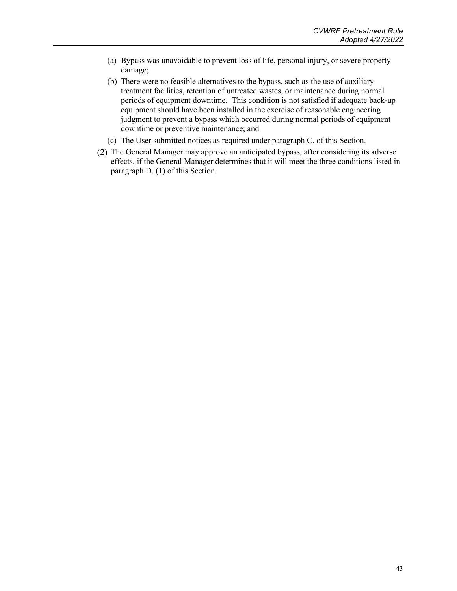- (a) Bypass was unavoidable to prevent loss of life, personal injury, or severe property damage;
- (b) There were no feasible alternatives to the bypass, such as the use of auxiliary treatment facilities, retention of untreated wastes, or maintenance during normal periods of equipment downtime. This condition is not satisfied if adequate back-up equipment should have been installed in the exercise of reasonable engineering judgment to prevent a bypass which occurred during normal periods of equipment downtime or preventive maintenance; and
- (c) The User submitted notices as required under paragraph C. of this Section.
- (2) The General Manager may approve an anticipated bypass, after considering its adverse effects, if the General Manager determines that it will meet the three conditions listed in paragraph D. (1) of this Section.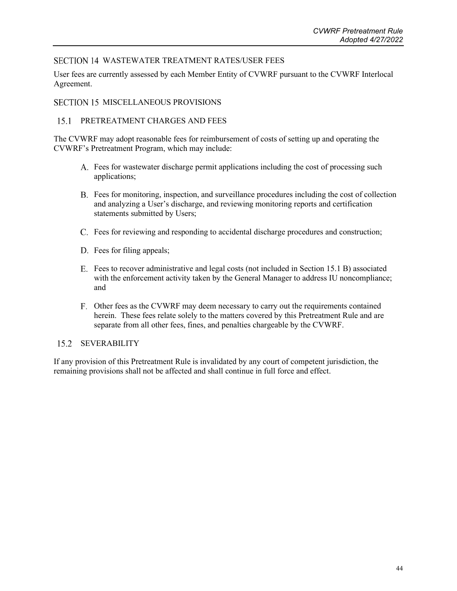### <span id="page-47-0"></span>SECTION 14 WASTEWATER TREATMENT RATES/USER FEES

User fees are currently assessed by each Member Entity of CVWRF pursuant to the CVWRF Interlocal Agreement.

### <span id="page-47-2"></span><span id="page-47-1"></span>SECTION 15 MISCELLANEOUS PROVISIONS

#### $15.1$ PRETREATMENT CHARGES AND FEES

The CVWRF may adopt reasonable fees for reimbursement of costs of setting up and operating the CVWRF's Pretreatment Program, which may include:

- Fees for wastewater discharge permit applications including the cost of processing such applications;
- Fees for monitoring, inspection, and surveillance procedures including the cost of collection and analyzing a User's discharge, and reviewing monitoring reports and certification statements submitted by Users;
- Fees for reviewing and responding to accidental discharge procedures and construction;
- D. Fees for filing appeals;
- Fees to recover administrative and legal costs (not included in Section 15.1 B) associated with the enforcement activity taken by the General Manager to address IU noncompliance; and
- Other fees as the CVWRF may deem necessary to carry out the requirements contained herein. These fees relate solely to the matters covered by this Pretreatment Rule and are separate from all other fees, fines, and penalties chargeable by the CVWRF.

### <span id="page-47-3"></span>15.2 SEVERABILITY

If any provision of this Pretreatment Rule is invalidated by any court of competent jurisdiction, the remaining provisions shall not be affected and shall continue in full force and effect.